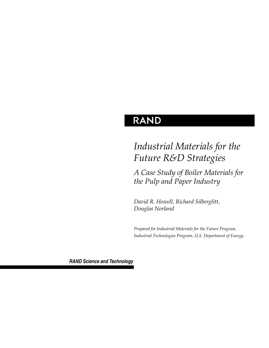# **RAND**

# *Industrial Materials for the Future R&D Strategies*

*A Case Study of Boiler Materials for the Pulp and Paper Industry* 

*David R. Howell, Richard Silberglitt, Douglas Norland*

*Prepared for Industrial Materials for the Future Program, Industrial Technologies Program, U.S. Department of Energy*

*RAND Science and Technology*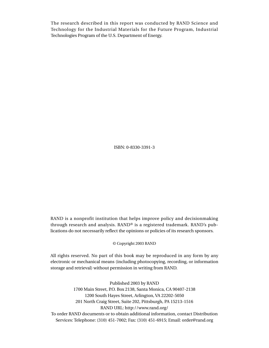The research described in this report was conducted by RAND Science and Technology for the Industrial Materials for the Future Program, Industrial Technologies Program of the U.S. Department of Energy.

ISBN: 0-8330-3391-3

RAND is a nonprofit institution that helps improve policy and decisionmaking through research and analysis. RAND® is a registered trademark. RAND's publications do not necessarily reflect the opinions or policies of its research sponsors.

© Copyright 2003 RAND

All rights reserved. No part of this book may be reproduced in any form by any electronic or mechanical means (including photocopying, recording, or information storage and retrieval) without permission in writing from RAND.

Published 2003 by RAND 1700 Main Street, P.O. Box 2138, Santa Monica, CA 90407-2138 1200 South Hayes Street, Arlington, VA 22202-5050 201 North Craig Street, Suite 202, Pittsburgh, PA 15213-1516 RAND URL: http://www.rand.org/ To order RAND documents or to obtain additional information, contact Distribution Services: Telephone: (310) 451-7002; Fax: (310) 451-6915; Email: order@rand.org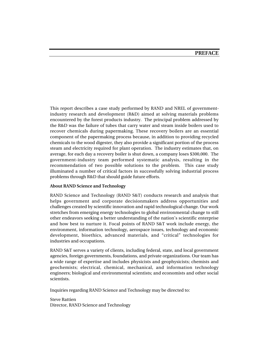This report describes a case study performed by RAND and NREL of governmentindustry research and development (R&D) aimed at solving materials problems encountered by the forest products industry. The principal problem addressed by the R&D was the failure of tubes that carry water and steam inside boilers used to recover chemicals during papermaking. These recovery boilers are an essential component of the papermaking process because, in addition to providing recycled chemicals to the wood digester, they also provide a significant portion of the process steam and electricity required for plant operation. The industry estimates that, on average, for each day a recovery boiler is shut down, a company loses \$300,000. The government-industry team performed systematic analysis, resulting in the recommendation of two possible solutions to the problem. This case study illuminated a number of critical factors in successfully solving industrial process problems through R&D that should guide future efforts.

#### **About RAND Science and Technology**

RAND Science and Technology (RAND S&T) conducts research and analysis that helps government and corporate decisionmakers address opportunities and challenges created by scientific innovation and rapid technological change. Our work stretches from emerging energy technologies to global environmental change to still other endeavors seeking a better understanding of the nation's scientific enterprise and how best to nurture it. Focal points of RAND S&T work include energy, the environment, information technology, aerospace issues, technology and economic development, bioethics, advanced materials, and "critical" technologies for industries and occupations.

RAND S&T serves a variety of clients, including federal, state, and local government agencies, foreign governments, foundations, and private organizations. Our team has a wide range of expertise and includes physicists and geophysicists; chemists and geochemists; electrical, chemical, mechanical, and information technology engineers; biological and environmental scientists; and economists and other social scientists.

Inquiries regarding RAND Science and Technology may be directed to:

#### Steve Rattien Director, RAND Science and Technology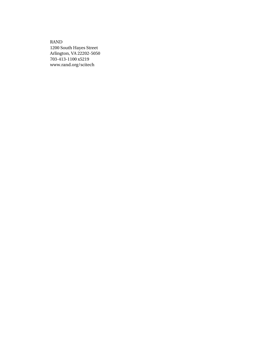RAND 1200 South Hayes Street Arlington, VA 22202-5050 703-413-1100 x5219 www.rand.org/scitech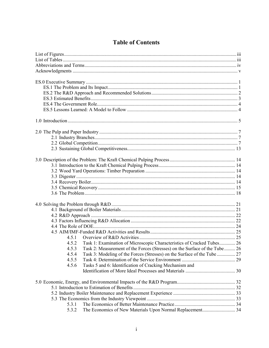# **Table of Contents**

| 4.5.1                                                                               |  |
|-------------------------------------------------------------------------------------|--|
| Task 1: Examination of Microscopic Characteristics of Cracked Tubes 26<br>4.5.2     |  |
| Task 2: Measurement of the Forces (Stresses) on the Surface of the Tube 26<br>4.5.3 |  |
| 4.5.4                                                                               |  |
| 4.5.5                                                                               |  |
| Tasks 5 and 6: Identification of Cracking Mechanism and<br>4.5.6                    |  |
|                                                                                     |  |
|                                                                                     |  |
|                                                                                     |  |
|                                                                                     |  |
|                                                                                     |  |
| 5.3.1                                                                               |  |
| 5.3.2                                                                               |  |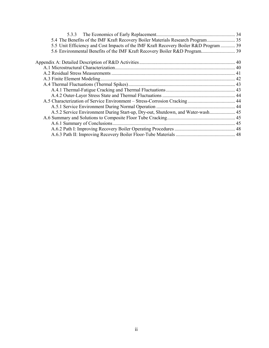| 5.4 The Benefits of the IMF Kraft Recovery Boiler Materials Research Program 35       |  |
|---------------------------------------------------------------------------------------|--|
| 5.5 Unit Efficiency and Cost Impacts of the IMF Kraft Recovery Boiler R&D Program  39 |  |
|                                                                                       |  |
|                                                                                       |  |
|                                                                                       |  |
|                                                                                       |  |
|                                                                                       |  |
|                                                                                       |  |
|                                                                                       |  |
|                                                                                       |  |
|                                                                                       |  |
|                                                                                       |  |
| A.5.2 Service Environment During Start-up, Dry-out, Shutdown, and Water-wash 45       |  |
|                                                                                       |  |
|                                                                                       |  |
|                                                                                       |  |
|                                                                                       |  |
|                                                                                       |  |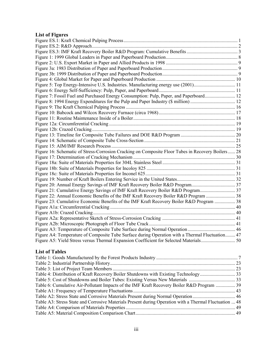# **List of Figures**

| Figure 5: Top Energy-Intensive U.S. Industries. Manufacturing energy use (2001)11                 |  |
|---------------------------------------------------------------------------------------------------|--|
|                                                                                                   |  |
| Figure 7: Fossil Fuel and Purchased Energy Consumption: Pulp, Paper, and Paperboard 12            |  |
|                                                                                                   |  |
|                                                                                                   |  |
|                                                                                                   |  |
|                                                                                                   |  |
|                                                                                                   |  |
|                                                                                                   |  |
|                                                                                                   |  |
|                                                                                                   |  |
|                                                                                                   |  |
| Figure 16: Schematic of Stress-Corrosion Cracking on Composite Floor Tubes in Recovery Boilers 28 |  |
|                                                                                                   |  |
|                                                                                                   |  |
|                                                                                                   |  |
|                                                                                                   |  |
|                                                                                                   |  |
|                                                                                                   |  |
|                                                                                                   |  |
| Figure 22: Annual Economic Benefits of the IMF Kraft Recovery Boiler R&D Program  38              |  |
| Figure 23: Cumulative Economic Benefits of the IMF Kraft Recovery Boiler R&D Program  38          |  |
|                                                                                                   |  |
|                                                                                                   |  |
|                                                                                                   |  |
|                                                                                                   |  |
|                                                                                                   |  |
| Figure A4: Temperature of Composite Tube Surface during Operation with a Thermal Fluctuation 47   |  |
|                                                                                                   |  |

## **List of Tables**

| Table 6: Cumulative Air-Pollutant Impacts of the IMF Kraft Recovery Boiler R&D Program  39             |  |
|--------------------------------------------------------------------------------------------------------|--|
|                                                                                                        |  |
|                                                                                                        |  |
| Table A3: Stress State and Corrosive Materials Present during Operation with a Thermal Fluctuation  48 |  |
|                                                                                                        |  |
|                                                                                                        |  |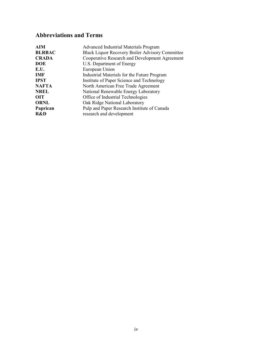# **Abbreviations and Terms**

| <b>AIM</b>    | <b>Advanced Industrial Materials Program</b>           |
|---------------|--------------------------------------------------------|
| <b>BLRBAC</b> | <b>Black Liquor Recovery Boiler Advisory Committee</b> |
| <b>CRADA</b>  | Cooperative Research and Development Agreement         |
| <b>DOE</b>    | U.S. Department of Energy                              |
| E.U.          | European Union                                         |
| <b>IMF</b>    | Industrial Materials for the Future Program            |
| <b>IPST</b>   | Institute of Paper Science and Technology              |
| <b>NAFTA</b>  | North American Free Trade Agreement                    |
| <b>NREL</b>   | National Renewable Energy Laboratory                   |
| <b>OIT</b>    | Office of Industrial Technologies                      |
| <b>ORNL</b>   | Oak Ridge National Laboratory                          |
| Paprican      | Pulp and Paper Research Institute of Canada            |
| R&D           | research and development                               |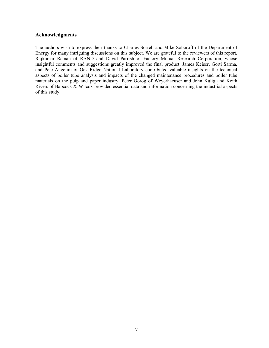#### **Acknowledgments**

The authors wish to express their thanks to Charles Sorrell and Mike Soboroff of the Department of Energy for many intriguing discussions on this subject. We are grateful to the reviewers of this report, Rajkumar Raman of RAND and David Parrish of Factory Mutual Research Corporation, whose insightful comments and suggestions greatly improved the final product. James Keiser, Gorti Sarma, and Pete Angelini of Oak Ridge National Laboratory contributed valuable insights on the technical aspects of boiler tube analysis and impacts of the changed maintenance procedures and boiler tube materials on the pulp and paper industry. Peter Gorog of Weyerhaeuser and John Kulig and Keith Rivers of Babcock & Wilcox provided essential data and information concerning the industrial aspects of this study.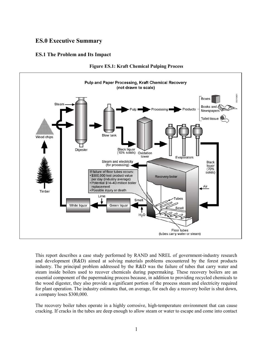# **ES.0 Executive Summary**

#### **ES.1 The Problem and Its Impact**



**Figure ES.1: Kraft Chemical Pulping Process** 

This report describes a case study performed by RAND and NREL of government-industry research and development (R&D) aimed at solving materials problems encountered by the forest products industry. The principal problem addressed by the R&D was the failure of tubes that carry water and steam inside boilers used to recover chemicals during papermaking. These recovery boilers are an essential component of the papermaking process because, in addition to providing recycled chemicals to the wood digester, they also provide a significant portion of the process steam and electricity required for plant operation. The industry estimates that, on average, for each day a recovery boiler is shut down, a company loses \$300,000.

The recovery boiler tubes operate in a highly corrosive, high-temperature environment that can cause cracking. If cracks in the tubes are deep enough to allow steam or water to escape and come into contact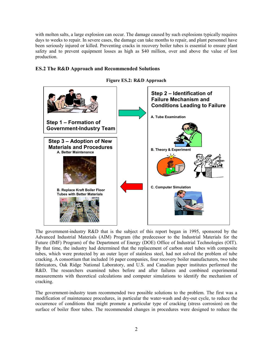with molten salts, a large explosion can occur. The damage caused by such explosions typically requires days to weeks to repair. In severe cases, the damage can take months to repair, and plant personnel have been seriously injured or killed. Preventing cracks in recovery boiler tubes is essential to ensure plant safety and to prevent equipment losses as high as \$40 million, over and above the value of lost production.

### **ES.2 The R&D Approach and Recommended Solutions**



**Figure ES.2: R&D Approach** 

The government-industry R&D that is the subject of this report began in 1995, sponsored by the Advanced Industrial Materials (AIM) Program (the predecessor to the Industrial Materials for the Future (IMF) Program) of the Department of Energy (DOE) Office of Industrial Technologies (OIT). By that time, the industry had determined that the replacement of carbon steel tubes with composite tubes, which were protected by an outer layer of stainless steel, had not solved the problem of tube cracking. A consortium that included 16 paper companies, four recovery boiler manufacturers, two tube fabricators, Oak Ridge National Laboratory, and U.S. and Canadian paper institutes performed the R&D. The researchers examined tubes before and after failures and combined experimental measurements with theoretical calculations and computer simulations to identify the mechanism of cracking.

The government-industry team recommended two possible solutions to the problem. The first was a modification of maintenance procedures, in particular the water-wash and dry-out cycle, to reduce the occurrence of conditions that might promote a particular type of cracking (stress corrosion) on the surface of boiler floor tubes. The recommended changes in procedures were designed to reduce the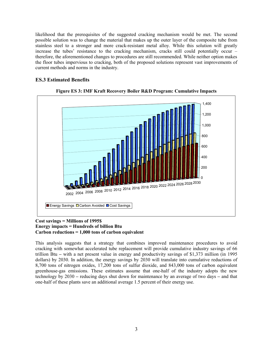likelihood that the prerequisites of the suggested cracking mechanism would be met. The second possible solution was to change the material that makes up the outer layer of the composite tube from stainless steel to a stronger and more crack-resistant metal alloy. While this solution will greatly increase the tubes' resistance to the cracking mechanism, cracks still could potentially occur – therefore, the aforementioned changes to procedures are still recommended. While neither option makes the floor tubes impervious to cracking, both of the proposed solutions represent vast improvements of current methods and norms in the industry.

### **ES.3 Estimated Benefits**



**Figure ES 3: IMF Kraft Recovery Boiler R&D Program: Cumulative Impacts** 

#### **Cost savings = Millions of 1995\$ Energy impacts = Hundreds of billion Btu Carbon reductions = 1,000 tons of carbon equivalent**

This analysis suggests that a strategy that combines improved maintenance procedures to avoid cracking with somewhat accelerated tube replacement will provide cumulative industry savings of 66 trillion Btu **–** with a net present value in energy and productivity savings of \$1,373 million (in 1995 dollars) by 2030. In addition, the energy savings by 2030 will translate into cumulative reductions of 8,700 tons of nitrogen oxides, 17,200 tons of sulfur dioxide, and 843,000 tons of carbon equivalent greenhouse-gas emissions. These estimates assume that one-half of the industry adopts the new technology by 2030 **–** reducing days shut down for maintenance by an average of two days **–** and that one-half of these plants save an additional average 1.5 percent of their energy use.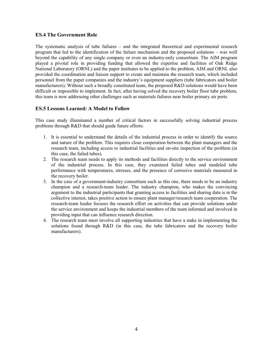#### **ES.4 The Government Role**

The systematic analysis of tube failures – and the integrated theoretical and experimental research program that led to the identification of the failure mechanism and the proposed solutions – was well beyond the capability of any single company or even an industry-only consortium. The AIM program played a pivotal role in providing funding that allowed the expertise and facilities of Oak Ridge National Laboratory (ORNL) and the paper institutes to be applied to the problem. AIM and ORNL also provided the coordination and liaison support to create and maintain the research team, which included personnel from the paper companies and the industry's equipment suppliers (tube fabricators and boiler manufacturers). Without such a broadly constituted team, the proposed R&D solutions would have been difficult or impossible to implement. In fact, after having solved the recovery boiler floor tube problem, this team is now addressing other challenges such as materials failures near boiler primary air ports.

#### **ES.5 Lessons Learned: A Model to Follow**

This case study illuminated a number of critical factors in successfully solving industrial process problems through R&D that should guide future efforts:

- 1. It is essential to understand the details of the industrial process in order to identify the source and nature of the problem. This requires close cooperation between the plant managers and the research team, including access to industrial facilities and on-site inspection of the problem (in this case, the failed tubes).
- 2. The research team needs to apply its methods and facilities directly to the service environment of the industrial process. In this case, they examined failed tubes and modeled tube performance with temperatures, stresses, and the presence of corrosive materials measured in the recovery boiler.
- 3. In the case of a government-industry consortium such as this one, there needs to be an industry champion and a research-team leader. The industry champion, who makes the convincing argument to the industrial participants that granting access to facilities and sharing data is in the collective interest, takes positive action to ensure plant manager/research team cooperation. The research-team leader focuses the research effort on activities that can provide solutions under the service environment and keeps the industrial members of the team informed and involved in providing input that can influence research direction.
- 4. The research team must involve all supporting industries that have a stake in implementing the solutions found through R&D (in this case, the tube fabricators and the recovery boiler manufacturers).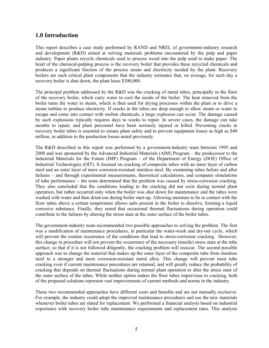# **1.0 Introduction**

This report describes a case study performed by RAND and NREL of government-industry research and development (R&D) aimed at solving materials problems encountered by the pulp and paper industry. Paper plants recycle chemicals used to process wood into the pulp used to make paper. The heart of the chemical-pulping process is the recovery boiler that provides these recycled chemicals and produces a significant fraction of the process steam and electricity needed by the plant. Recovery boilers are such critical plant components that the industry estimates that, on average, for each day a recovery boiler is shut down, the plant loses \$300,000.

The principal problem addressed by the R&D was the cracking of metal tubes, principally in the floor of the recovery boiler, which carry water to cool the inside of the boiler. The heat removed from the boiler turns the water to steam, which is then used for drying processes within the plant or to drive a steam turbine to produce electricity. If cracks in the tubes are deep enough to allow steam or water to escape and come into contact with molten chemicals, a large explosion can occur. The damage caused by such explosions typically requires days to weeks to repair. In severe cases, the damage can take months to repair, and plant personnel have been seriously injured or killed. Preventing cracks in recovery boiler tubes is essential to ensure plant safety and to prevent equipment losses as high as \$40 million, in addition to the production losses noted previously.

The R&D described in this report was performed by a government-industry team between 1995 and 2000 and was sponsored by the Advanced Industrial Materials (AIM) Program – the predecessor to the Industrial Materials for the Future (IMF) Program – of the Department of Energy (DOE) Office of Industrial Technologies (OIT). It focused on cracking of composite tubes with an inner layer of carbon steel and an outer layer of more corrosion-resistant stainless steel. By examining tubes before and after failures – and through experimental measurements, theoretical calculations, and computer simulations of tube performance – the team determined that the problem was caused by stress-corrosion cracking. They also concluded that the conditions leading to the cracking did not exist during normal plant operation, but rather occurred only when the boiler was shut down for maintenance and the tubes were washed with water and then dried-out during boiler start-up. Allowing moisture to be in contact with the floor tubes above a certain temperature allows salts present in the boiler to dissolve, forming a liquid corrosive substance. Finally, they noted that occasional thermal fluctuations during operation could contribute to the failures by altering the stress state at the outer surface of the boiler tubes.

The government-industry team recommended two possible approaches to solving the problem. The first was a modification of maintenance procedures, in particular the water-wash and dry-out cycle, which will prevent the routine occurrence of the conditions that lead to stress-corrosion cracking. However, this change in procedure will not prevent the occurrence of the necessary (tensile) stress state at the tube surface; so that if it is not followed diligently, the cracking problem will reoccur. The second possible approach was to change the material that makes up the outer layer of the composite tube from stainless steel to a stronger and more corrosion-resistant metal alloy. This change will prevent most tube cracking even if current maintenance procedures are retained, and will greatly reduce the probability of cracking that depends on thermal fluctuations during normal plant operation to alter the stress state of the outer surface of the tubes. While neither option makes the floor tubes impervious to cracking, both of the proposed solutions represent vast improvements of current methods and norms in the industry.

These two recommended approaches have different costs and benefits and are not mutually exclusive. For example, the industry could adopt the improved maintenance procedures and use the new materials whenever boiler tubes are slated for replacement. We performed a financial analysis based on industrial experience with recovery boiler tube maintenance requirements and replacement rates. This analysis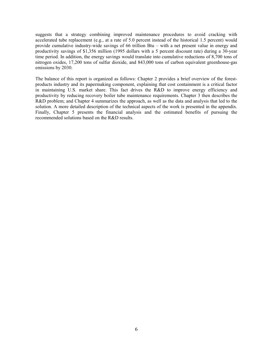suggests that a strategy combining improved maintenance procedures to avoid cracking with accelerated tube replacement (e.g., at a rate of 5.0 percent instead of the historical 1.5 percent) would provide cumulative industry-wide savings of 66 trillion Btu – with a net present value in energy and productivity savings of \$1,356 million (1995 dollars with a 5 percent discount rate) during a 30-year time period. In addition, the energy savings would translate into cumulative reductions of 8,700 tons of nitrogen oxides, 17,200 tons of sulfur dioxide, and 843,000 tons of carbon equivalent greenhouse-gas emissions by 2030.

The balance of this report is organized as follows: Chapter 2 provides a brief overview of the forestproducts industry and its papermaking component, explaining that cost containment is a critical factor in maintaining U.S. market share. This fact drives the R&D to improve energy efficiency and productivity by reducing recovery boiler tube maintenance requirements. Chapter 3 then describes the R&D problem; and Chapter 4 summarizes the approach, as well as the data and analysis that led to the solution. A more detailed description of the technical aspects of the work is presented in the appendix. Finally, Chapter 5 presents the financial analysis and the estimated benefits of pursuing the recommended solutions based on the R&D results.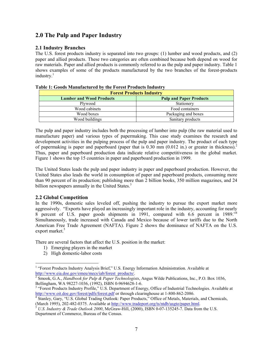# **2.0 The Pulp and Paper Industry**

#### **2.1 Industry Branches**

The U.S. forest products industry is separated into two groups: (1) lumber and wood products, and (2) paper and allied products. These two categories are often combined because both depend on wood for raw materials. Paper and allied products is commonly referred to as the pulp and paper industry. Table 1 shows examples of some of the products manufactured by the two branches of the forest-products industry. $1$ 

| <b>Forest Products Industry</b> |                                |  |  |  |
|---------------------------------|--------------------------------|--|--|--|
| <b>Lumber and Wood Products</b> | <b>Pulp and Paper Products</b> |  |  |  |
| Plywood                         | Stationery                     |  |  |  |
| Wood cabinets                   | Food containers                |  |  |  |
| Wood boxes                      | Packaging and boxes            |  |  |  |
| Wood buildings                  | Sanitary products              |  |  |  |

#### **Table 1: Goods Manufactured by the Forest Products Industry**

The pulp and paper industry includes both the processing of lumber into pulp (the raw material used to manufacture paper) and various types of papermaking. This case study examines the research and development activities in the pulping process of the pulp and paper industry. The product of each type of papermaking is paper and paperboard (paper that is  $0.30$  mm ( $0.012$  in.) or greater in thickness).<sup>2</sup> Thus, paper and paperboard production data indicate relative competitiveness in the global market. Figure 1 shows the top 15 countries in paper and paperboard production in 1999.

The United States leads the pulp and paper industry in paper and paperboard production. However, the United States also leads the world in consumption of paper and paperboard products, consuming more than 90 percent of its production; publishing more than 2 billion books, 350 million magazines, and 24 billion newspapers annually in the United States.<sup>3</sup>

#### **2.2 Global Competition**

In the 1990s, domestic sales leveled off, pushing the industry to pursue the export market more aggressively. "Exports have played an increasingly important role in the industry, accounting for nearly 8 percent of U.S. paper goods shipments in 1991, compared with 6.6 percent in 1989.<sup>74</sup> Simultaneously, trade increased with Canada and Mexico because of lower tariffs due to the North American Free Trade Agreement (NAFTA). Figure 2 shows the dominance of NAFTA on the U.S. export market.<sup>5</sup>

There are several factors that affect the U.S. position in the market:

- 1) Emerging players in the market
- 2) High domestic-labor costs

<sup>&</sup>lt;sup>1</sup> "Forest Products Industry Analysis Brief," U.S. Energy Information Administration. Available at http://www.eia.doe.gov/emeu/mecs/iab/forest\_products/. 2

<sup>&</sup>lt;sup>2</sup> Smook, G.A., *Handbook for Pulp & Paper Technologists*, Angus Wilde Publications, Inc., P.O. Box 1036, Bellingham, WA 98227-1036, (1992), ISBN 0-9694628-1-6. 3

<sup>&</sup>lt;sup>3</sup> "Forest Products Industry Profile," U.S. Department of Energy, Office of Industrial Technologies. Available at http://www.oit.doe.gov/forest/pdfs/forest.pdf or through clearinghouse at 1-800-862-2086.

Stanley, Gary, "U.S. Global Trading Outlook: Paper Products," Office of Metals, Materials, and Chemicals,

<sup>(</sup>March 1995), 202-482-0375. Available at <u>http://www.tradeport.org/ts/ntdb/usgto/paper.html</u>.<br><sup>5</sup> U.S. Industry & Trade Outlook 2000, McGraw-Hill, (2000), ISBN 0-07-135245-7. Data from the U.S. Department of Commerce, Bureau of the Census.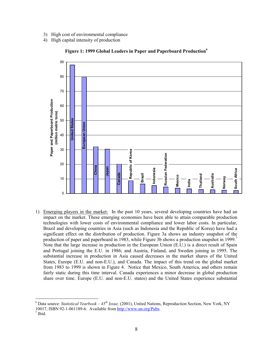- 3) High cost of environmental compliance
- 4) High capital intensity of production



**Figure 1: 1999 Global Leaders in Paper and Paperboard Production<sup>6</sup>**

1) Emerging players in the market: In the past 10 years, several developing countries have had an impact on the market. These emerging economies have been able to attain comparable production technologies with lower costs of environmental compliance and lower labor costs. In particular, Brazil and developing countries in Asia (such as Indonesia and the Republic of Korea) have had a significant effect on the distribution of production. Figure 3a shows an industry snapshot of the production of paper and paperboard in 1983, while Figure 3b shows a production snapshot in 1999.<sup>7</sup> Note that the large increase in production in the European Union (E.U.) is a direct result of Spain and Portugal joining the E.U. in 1986; and Austria, Finland, and Sweden joining in 1995. The substantial increase in production in Asia caused decreases in the market shares of the United States, Europe (E.U. and non-E.U.), and Canada. The impact of this trend on the global market from 1983 to 1999 is shown in Figure 4. Notice that Mexico, South America, and others remain fairly static during this time interval. Canada experiences a minor decrease in global production share over time. Europe (E.U. and non-E.U. states) and the United States experience substantial

<sup>6</sup> Data source: *Statistical Yearbook – 45th Issue,* (2001), United Nations, Reproduction Section, New York, NY 10017, ISBN 92-1-061189-6. Available from http://www.un.org/Pubs. 7

 $<sup>7</sup>$  Ibid.</sup>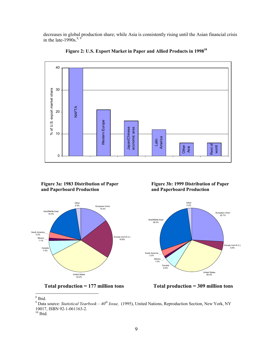decreases in global production share; while Asia is consistently rising until the Asian financial crisis in the late-1990s. $8, 9$ 



**Figure 2: U.S. Export Market in Paper and Allied Products in 1998<sup>10</sup>**

**Figure 3a: 1983 Distribution of Paper and Paperboard Production** 





**Figure 3b: 1999 Distribution of Paper and Paperboard Production** 





 $\frac{8}{1}$  Ibid.

<sup>9</sup> Data source: *Statistical Yearbook – 40th Issue,* (1995), United Nations, Reproduction Section, New York, NY 10017, ISBN 92-1-061163-2.

 $^{10}$  Ibid.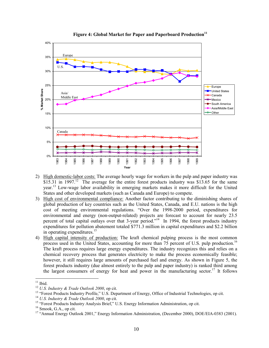

#### Figure 4: Global Market for Paper and Paperboard Production<sup>11</sup>

- 2) High domestic-labor costs: The average hourly wage for workers in the pulp and paper industry was \$15.31 in 1997.<sup>12</sup> The average for the entire forest products industry was \$13.65 for the same year.13 Low-wage labor availability in emerging markets makes it more difficult for the United States and other developed markets (such as Canada and Europe) to compete.
- 3) High cost of environmental compliance: Another factor contributing to the diminishing shares of global production of key countries such as the United States, Canada, and E.U. nations is the high cost of meeting environmental regulations. "Over the 1998-2000 period, expenditures for environmental and energy (non-output-related) projects are forecast to account for nearly 23.5 percent of total capital outlays over that 3-year period."<sup>14</sup> In 1994, the forest products industry expenditures for pollution abatement totaled \$771.3 million in capital expenditures and \$2.2 billion in operating expenditures.<sup>15</sup>
- 4) High capital intensity of production: The kraft chemical pulping process is the most common process used in the United States, accounting for more than 75 percent of U.S. pulp production.<sup>16</sup> The kraft process requires large energy expenditures. The industry recognizes this and relies on a chemical recovery process that generates electricity to make the process economically feasible; however, it still requires large amounts of purchased fuel and energy. As shown in Figure 5, the forest products industry (due almost entirely to the pulp and paper industry) is ranked third among the largest consumers of energy for heat and power in the manufacturing sector.<sup>17</sup> It follows

 $11$  Ibid.

<sup>&</sup>lt;sup>12</sup> *U.S. Industry & Trade Outlook 2000*, op cit.<br><sup>13</sup> "Forest Products Industry Profile," U.S. Department of Energy, Office of Industrial Technologies, op cit.<br><sup>14</sup> *U.S. Industry & Trade Outlook 2000*, op cit.

<sup>&</sup>lt;sup>15</sup> "Forest Products Industry Analysis Brief," U.S. Energy Information Administration, op cit. <sup>16</sup> Smook. G.A., op cit.

<sup>&</sup>lt;sup>17</sup> "Annual Energy Outlook 2001," Energy Information Administration, (December 2000), DOE/EIA-0383 (2001).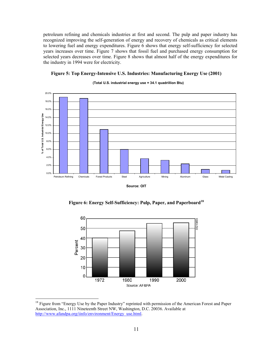petroleum refining and chemicals industries at first and second. The pulp and paper industry has recognized improving the self-generation of energy and recovery of chemicals as critical elements to lowering fuel and energy expenditures. Figure 6 shows that energy self-sufficiency for selected years increases over time. Figure 7 shows that fossil fuel and purchased energy consumption for selected years decreases over time. Figure 8 shows that almost half of the energy expenditures for the industry in 1994 were for electricity.



#### **(Total U.S. industrial energy use = 34.1 quadrillion Btu)**

**Figure 5: Top Energy-Intensive U.S. Industries: Manufacturing Energy Use (2001)**

**Source: OIT**

**Figure 6: Energy Self-Sufficiency: Pulp, Paper, and Paperboard<sup>18</sup>**



<sup>&</sup>lt;sup>18</sup> Figure from "Energy Use by the Paper Industry" reprinted with permission of the American Forest and Paper Association, Inc., 1111 Nineteenth Street NW, Washington, D.C. 20036. Available at http://www.afandpa.org/iinfo/environment/Energy\_use.html.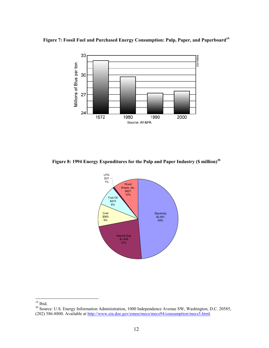



**Figure 8: 1994 Energy Expenditures for the Pulp and Paper Industry (\$ million)<sup>20</sup>**



 $19$  Ibid.

<sup>&</sup>lt;sup>20</sup> Source: U.S. Energy Information Administration, 1000 Independence Avenue SW, Washington, D.C. 20585, (202) 586-8800. Available at http://www.eia.doe.gov/emeu/mecs/mecs94/consumption/mecs5.html.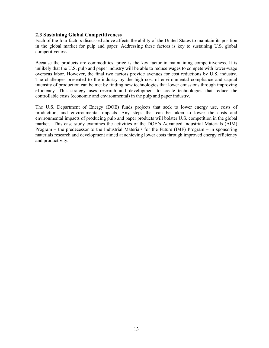#### **2.3 Sustaining Global Competitiveness**

Each of the four factors discussed above affects the ability of the United States to maintain its position in the global market for pulp and paper. Addressing these factors is key to sustaining U.S. global competitiveness.

Because the products are commodities, price is the key factor in maintaining competitiveness. It is unlikely that the U.S. pulp and paper industry will be able to reduce wages to compete with lower-wage overseas labor. However, the final two factors provide avenues for cost reductions by U.S. industry. The challenges presented to the industry by the high cost of environmental compliance and capital intensity of production can be met by finding new technologies that lower emissions through improving efficiency. This strategy uses research and development to create technologies that reduce the controllable costs (economic and environmental) in the pulp and paper industry.

The U.S. Department of Energy (DOE) funds projects that seek to lower energy use, costs of production, and environmental impacts. Any steps that can be taken to lower the costs and environmental impacts of producing pulp and paper products will bolster U.S. competition in the global market. This case study examines the activities of the DOE's Advanced Industrial Materials (AIM) Program **–** the predecessor to the Industrial Materials for the Future (IMF) Program **–** in sponsoring materials research and development aimed at achieving lower costs through improved energy efficiency and productivity.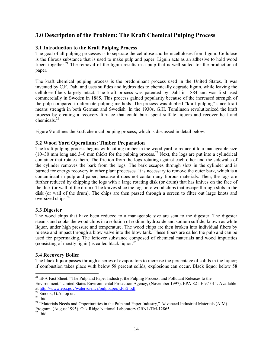# **3.0 Description of the Problem: The Kraft Chemical Pulping Process**

#### **3.1 Introduction to the Kraft Pulping Process**

The goal of all pulping processes is to separate the cellulose and hemicelluloses from lignin. Cellulose is the fibrous substance that is used to make pulp and paper. Lignin acts as an adhesive to hold wood fibers together.<sup>21</sup> The removal of the lignin results in a pulp that is well suited for the production of paper.

The kraft chemical pulping process is the predominant process used in the United States. It was invented by C.F. Dahl and uses sulfides and hydroxides to chemically degrade lignin, while leaving the cellulose fibers largely intact. The kraft process was patented by Dahl in 1884 and was first used commercially in Sweden in 1885. This process gained popularity because of the increased strength of the pulp compared to alternate pulping methods. The process was dubbed "kraft pulping" since kraft means strength in both German and Swedish. In the 1930s, G.H. Tomlinson revolutionized the kraft process by creating a recovery furnace that could burn spent sulfate liquors and recover heat and chemicals.<sup>22</sup>

Figure 9 outlines the kraft chemical pulping process, which is discussed in detail below.

#### **3.2 Wood Yard Operations: Timber Preparation**

The kraft pulping process begins with cutting timber in the wood yard to reduce it to a manageable size  $(10-30 \text{ mm} \text{ long and } 3-6 \text{ mm} \text{ thick})$  for the pulping process.<sup>23</sup> Next, the logs are put into a cylindrical container that rotates them. The friction from the logs rotating against each other and the sidewalls of the cylinder removes the bark from the logs. The bark escapes through slots in the cylinder and is burned for energy recovery in other plant processes. It is necessary to remove the outer bark, which is a contaminant in pulp and paper, because it does not contain any fibrous materials. Then, the logs are further reduced by chipping the logs with a large rotating disk (or drum) that has knives on the face of the disk (or wall of the drum). The knives slice the logs into wood chips that escape through slots in the disk (or wall of the drum). The chips are then passed through a screen to filter out large knots and oversized chips.<sup>24</sup>

#### **3.3 Digester**

The wood chips that have been reduced to a manageable size are sent to the digester. The digester steams and cooks the wood chips in a solution of sodium hydroxide and sodium sulfide, known as white liquor, under high pressure and temperature. The wood chips are then broken into individual fibers by release and impact through a blow valve into the blow tank. These fibers are called the pulp and can be used for papermaking. The leftover substance composed of chemical materials and wood impurities (consisting of mostly lignin) is called black liquor.<sup>25</sup>

#### **3.4 Recovery Boiler**

The black liquor passes through a series of evaporators to increase the percentage of solids in the liquor; if combustion takes place with below 58 percent solids, explosions can occur. Black liquor below 58

 $21$  EPA Fact Sheet: "The Pulp and Paper Industry, the Pulping Process, and Pollutant Releases to the Environment." United States Environmental Protection Agency, (November 1997), EPA-821-F-97-011. Available at http://www.epa.gov/waterscience/pulppaper/jd/fs2.pdf. 22 Smook, G.A., op cit.

 $23$  Ibid.

<sup>&</sup>lt;sup>24</sup> "Materials Needs and Opportunities in the Pulp and Paper Industry," Advanced Industrial Materials (AIM) Program, (August 1995), Oak Ridge National Laboratory ORNL/TM-12865.

 $25$  Ibid.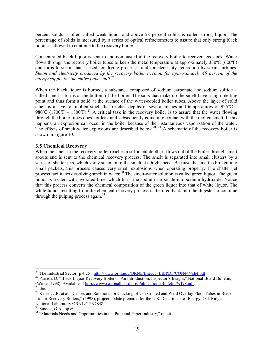percent solids is often called weak liquor and above 58 percent solids is called strong liquor. The percentage of solids is measured by a series of optical refractometers to assure that only strong black liquor is allowed to continue to the recovery boiler.

Concentrated black liquor is sent to and combusted in the recovery boiler to recover feedstock. Water flows through the recovery boiler tubes to keep the metal temperature at approximately 330ºC (626ºF) and turns to steam that is used for drying processes and for electricity generation by steam turbines. *Steam and electricity produced by the recovery boiler account for approximately 40 percent of the energy supply for the entire paper mill.*26

When the black liquor is burned, a substance composed of sodium carbonate and sodium sulfide – called smelt – forms at the bottom of the boiler. The salts that make up the smelt have a high melting point and thus form a solid at the surface of the water-cooled boiler tubes. Above the layer of solid smelt is a layer of molten smelt that reaches depths of several inches and temperatures of 925°C – 980°C (1700°F – 1800°F).<sup>27</sup> A critical task in the recovery boiler is to assure that the water flowing through the boiler tubes does not leak and subsequently come into contact with the molten smelt. If this happens, an explosion can occur in the boiler because of the instantaneous vaporization of the water. The effects of smelt-water explosions are described below.<sup>28, 29</sup> A schematic of the recovery boiler is shown in Figure 10.

#### **3.5 Chemical Recovery**

When the smelt in the recovery boiler reaches a sufficient depth, it flows out of the boiler through smelt spouts and is sent to the chemical recovery process. The smelt is separated into small clusters by a series of shatter jets, which spray steam onto the smelt at a high speed. Because the smelt is broken into small packets, this process causes very small explosions when operating properly. The shatter jet process facilitates dissolving smelt in water.<sup>30</sup> The smelt-water solution is called green liquor. The green liquor is treated with hydrated lime, which turns the sodium carbonate into sodium hydroxide. Notice that this process converts the chemical composition of the green liquor into that of white liquor. The white liquor resulting from the chemical recovery process is then fed back into the digester to continue through the pulping process again. $31$ 

<sup>&</sup>lt;sup>26</sup> The Industrial Sector (p 4.25), http://www.ornl.gov/ORNL/Energy Eff/PDF/CON444/ch4.pdf

<sup>&</sup>lt;sup>27</sup> Parrish, D. "Black Liquor Recovery Boilers – An Introduction, Inspector's Insight," National Board Bulletin, (Winter 1998). Available at http://www.nationalboard.org/Publications/Bulletin/WI98.pdf. 28 Ibid.

<sup>&</sup>lt;sup>29</sup> Keiser, J.R. et al. "Causes and Solutions for Cracking of Coextruded and Weld Overlay Floor Tubes in Black Liquor Recovery Boilers," (1998), project update prepared for the U.S. Department of Energy, Oak Ridge National Laboratory ORNL/CP-97848.

 $30$  Smook, G.A., op cit.

<sup>&</sup>lt;sup>31</sup> "Materials Needs and Opportunities in the Pulp and Paper Industry," op cit.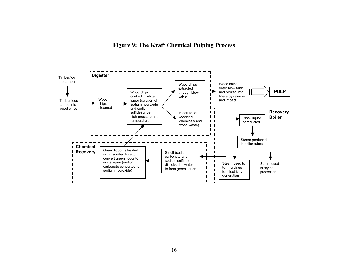**Figure 9: The Kraft Chemical Pulping Process** 

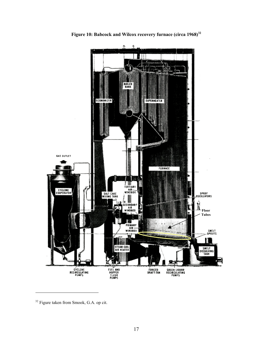

**Figure 10: Babcock and Wilcox recovery furnace (circa 1968)32** 

<sup>&</sup>lt;sup>32</sup> Figure taken from Smook, G.A. op cit.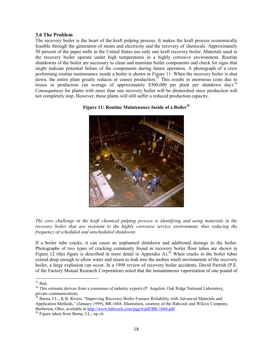#### **3.6 The Problem**

The recovery boiler is the heart of the kraft pulping process. It makes the kraft process economically feasible through the generation of steam and electricity and the recovery of chemicals. Approximately 50 percent of the paper mills in the United States use only one kraft recovery boiler. Materials used in the recovery boiler operate under high temperatures in a highly corrosive environment. Routine shutdowns of the boiler are necessary to clean and maintain boiler components and check for signs that might indicate potential failure of the components during future operation. A photograph of a crew performing routine maintenance inside a boiler is shown in Figure 11. When the recovery boiler is shut  $d$ <sub>d</sub>  $d$ <sub>d</sub>  $d$ <sub>n</sub>), the entire plant greatly reduces or ceases production.<sup>33</sup> This results in enormous costs due to losses in production (an average of approximately  $$300,000$  per plant per shutdown day).<sup>34</sup> Consequences for plants with more than one recovery boiler will be diminished since production will not completely stop. However, these plants will still suffer a reduced production capacity.

#### **Figure 11: Routine Maintenance Inside of a Boiler<sup>35</sup>**



*The core challenge in the kraft chemical pulping process is identifying and using materials in the recovery boiler that are resistant to the highly corrosive service environment, thus reducing the frequency of scheduled and unscheduled shutdowns.* 

If a boiler tube cracks, it can cause an unplanned shutdown and additional damage to the boiler. Photographs of two types of cracking commonly found in recovery boiler floor tubes are shown in Figure 12 (this figure is described in more detail in Appendix A).<sup>36</sup> When cracks in the boiler tubes extend deep enough to allow water and steam to leak into the molten smelt environment of the recovery boiler, a large explosion can occur. In a 1998 review of recovery boiler accidents, David Parrish (P.E. of the Factory Mutual Research Corporation) noted that the instantaneous vaporization of one pound of

 $\overline{a}$ 

<sup>35</sup> Barna, J.L., K.B. Rivers. "Improving Recovery Boiler Furnace Reliability with Advanced Materials and Application Methods," (January 1999), BR-1668. Illustration, courtesy of the Babcock and Wilcox Company, Barberton, Ohio, available at http://www.babcock.com/pgg/tt/pdf/BR-1668.pdf.<br><sup>36</sup> Figure taken from Barna, J.L., op cit.

 $33$  Ibid.

<sup>&</sup>lt;sup>34</sup> This estimate derives from a consensus of industry experts (P. Angelini, Oak Ridge National Laboratory, private communication).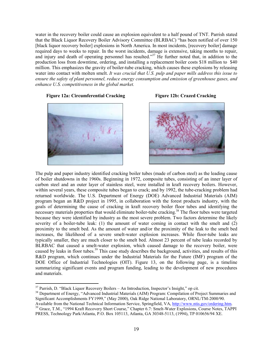water in the recovery boiler could cause an explosion equivalent to a half pound of TNT. Parrish stated that the Black Liquor Recovery Boiler Advisory Committee (BLRBAC) "has been notified of over 150 [black liquor recovery boiler] explosions in North America. In most incidents, [recovery boiler] damage required days to weeks to repair. In the worst incidents, damage is extensive, taking months to repair, and injury and death of operating personnel has resulted."<sup>37</sup> He further noted that, in addition to the production loss from downtime, ordering, and installing a replacement boiler costs \$18 million to \$40 million. This emphasizes the gravity of boiler-tube cracking, which causes these explosions by releasing water into contact with molten smelt. *It was crucial that U.S. pulp and paper mills address this issue to ensure the safety of plant personnel, reduce energy consumption and emission of greenhouse gases, and enhance U.S. competitiveness in the global market.* 

#### **Figure 12a: Circumferential Cracking Figure 12b: Crazed Cracking**



 $\overline{a}$ 





The pulp and paper industry identified cracking boiler tubes (made of carbon steel) as the leading cause of boiler shutdowns in the 1960s. Beginning in 1972, composite tubes, consisting of an inner layer of carbon steel and an outer layer of stainless steel, were installed in kraft recovery boilers. However, within several years, these composite tubes began to crack; and by 1992, the tube-cracking problem had returned worldwide. The U.S. Department of Energy (DOE) Advanced Industrial Materials (AIM) program began an R&D project in 1995, in collaboration with the forest products industry, with the goals of determining the cause of cracking in kraft recovery boiler floor tubes and identifying the necessary materials properties that would eliminate boiler-tube cracking.<sup>38</sup> The floor tubes were targeted because they were identified by industry as the most severe problem. Two factors determine the likely severity of a boiler-tube leak: (1) the amount of water coming in contact with the smelt and (2) proximity to the smelt bed. As the amount of water and/or the proximity of the leak to the smelt bed increases, the likelihood of a severe smelt-water explosion increases. While floor-tube leaks are typically smaller, they are much closer to the smelt bed. Almost 23 percent of tube leaks recorded by BLRBAC that caused a smelt-water explosion, which caused damage to the recovery boiler, were caused by leaks in floor tubes.<sup>39</sup> This case study describes the background, activities, and results of this R&D program, which continues under the Industrial Materials for the Future (IMF) program of the DOE Office of Industrial Technologies (OIT). Figure 13, on the following page, is a timeline summarizing significant events and program funding, leading to the development of new procedures and materials.

 $37$  Parrish, D. "Black Liquor Recovery Boilers – An Introduction, Inspector's Insight," op cit.

<sup>&</sup>lt;sup>38</sup> Department of Energy, "Advanced Industrial Materials (AIM) Program: Compilation of Project Summaries and Significant Accomplishments FY1999," (May 2000), Oak Ridge National Laboratory, ORNL/TM-2000/90.<br>Available from the National Technical Information Service, Springfield, VA, http://www.ntis.gov/ordering.htm.

<sup>&</sup>lt;sup>39</sup> Grace, T.M., "1994 Kraft Recovery Short Course," Chapter 6.7: Smelt-Water Explosions, Course Notes, TAPPI PRESS, Technology Park/Atlanta, P.O. Box 105113, Atlanta, GA 30348-5113, (1994), TP 010656/94 XE.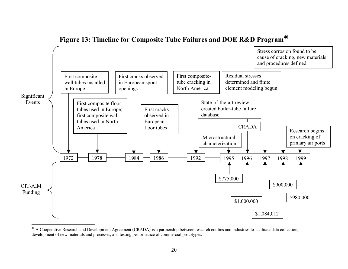

# **Figure 13: Timeline for Composite Tube Failures and DOE R&D Program<sup>40</sup>**

 $^{40}$  A Cooperative Research and Development Agreement (CRADA) is a partnership between research entities and industries to facilitate data collection, development of new materials and processes, and testing performance of commercial prototypes.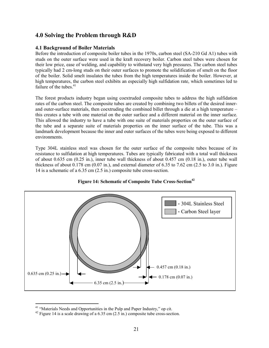# **4.0 Solving the Problem through R&D**

#### **4.1 Background of Boiler Materials**

Before the introduction of composite boiler tubes in the 1970s, carbon steel (SA-210 Gd A1) tubes with studs on the outer surface were used in the kraft recovery boiler. Carbon steel tubes were chosen for their low price, ease of welding, and capability to withstand very high pressures. The carbon steel tubes typically had 2 cm-long studs on their outer surfaces to promote the solidification of smelt on the floor of the boiler. Solid smelt insulates the tubes from the high temperatures inside the boiler. However, at high temperatures, the carbon steel exhibits an especially high sulfidation rate, which sometimes led to failure of the tubes. $41$ 

The forest products industry began using coextruded composite tubes to address the high sulfidation rates of the carbon steel. The composite tubes are created by combining two billets of the desired innerand outer-surface materials, then coextruding the combined billet through a die at a high temperature – this creates a tube with one material on the outer surface and a different material on the inner surface. This allowed the industry to have a tube with one suite of materials properties on the outer surface of the tube and a separate suite of materials properties on the inner surface of the tube. This was a landmark development because the inner and outer surfaces of the tubes were being exposed to different environments.

Type 304L stainless steel was chosen for the outer surface of the composite tubes because of its resistance to sulfidation at high temperatures. Tubes are typically fabricated with a total wall thickness of about 0.635 cm (0.25 in.), inner tube wall thickness of about 0.457 cm (0.18 in.), outer tube wall thickness of about  $0.178$  cm  $(0.07 \text{ in.})$ , and external diameter of 6.35 to 7.62 cm  $(2.5 \text{ to } 3.0 \text{ in.})$ . Figure 14 is a schematic of a 6.35 cm (2.5 in.) composite tube cross-section.



#### Figure 14: Schematic of Composite Tube Cross-Section<sup>42</sup>

<sup>&</sup>lt;sup>41</sup> "Materials Needs and Opportunities in the Pulp and Paper Industry," op cit.<br><sup>42</sup> Figure 14 is a scale drawing of a 6.35 cm (2.5 in.) composite tube cross-section.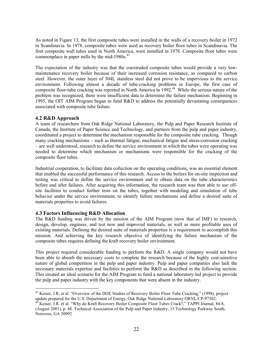As noted in Figure 13, the first composite tubes were installed in the walls of a recovery boiler in 1972 in Scandinavia. In 1978, composite tubes were used as recovery boiler floor tubes in Scandinavia. The first composite wall tubes used in North America, were installed in 1978. Composite floor tubes were commonplace in paper mills by the mid-1980s.<sup>43</sup>

The expectation of the industry was that the coextruded composite tubes would provide a very lowmaintenance recovery boiler because of their increased corrosion resistance, as compared to carbon steel. However, the outer layer of 304L stainless steel did not prove to be impervious to the service environment. Following almost a decade of tube-cracking problems in Europe, the first case of composite floor-tube cracking was reported in North America in 1992.<sup>44</sup> While the serious nature of the problem was recognized, there were insufficient data to determine the failure mechanism. Beginning in 1995, the OIT AIM Program began to fund R&D to address the potentially devastating consequences associated with composite tube failure.

#### **4.2 R&D Approach**

A team of researchers from Oak Ridge National Laboratory, the Pulp and Paper Research Institute of Canada, the Institute of Paper Science and Technology, and partners from the pulp and paper industry, coordinated a project to determine the mechanism responsible for the composite tube cracking. Though many cracking mechanisms – such as thermal fatigue, mechanical fatigue and stress-corrosion cracking – are well understood, research to define the service environment in which the tubes were operating was needed to determine which mechanism or mechanisms were responsible for the cracking of the composite floor tubes.

Industrial cooperation, to facilitate data collection on the operating conditions, was an essential element that enabled the successful performance of this research. Access to the boilers for on-site inspection and testing was critical to define the service environment and to obtain data on the tube characteristics before and after failures. After acquiring this information, the research team was then able to use offsite facilities to conduct further tests on the tubes, together with modeling and simulation of tube behavior under the service environment, to identify failure mechanisms and define a desired suite of materials properties to avoid failures.

#### **4.3 Factors Influencing R&D Allocation**

The R&D funding was driven by the mission of the AIM Program (now that of IMF) to research, design, develop, engineer, and test new and improved materials, as well as more profitable uses of existing materials. Defining the desired suite of materials properties is a requirement to accomplish this mission. And achieving the key research objective of identifying the failure mechanism of the composite tubes requires defining the kraft recovery boiler environment.

This project required considerable funding to perform the R&D. A single company would not have been able to absorb the necessary costs to complete the research because of the highly cost-sensitive nature of global competition in the pulp and paper industry. Pulp and paper companies also lack the necessary materials expertise and facilities to perform the R&D as described in the following section. This created an ideal scenario for the AIM Program to fund a national laboratory-led project to provide the pulp and paper industry with the key components that were absent in the industry.

<sup>&</sup>lt;sup>43</sup> Keiser, J.R. et al. "Overview of the DOE Studies of Recovery Boiler Floor Tube Cracking," (1998), project update prepared for the U.S. Department of Energy, Oak Ridge National Laboratory ORNL/CP-97302.

<sup>&</sup>lt;sup>44</sup> Keiser, J.R. et al. "Why do Kraft Recovery Boiler Composite Floor Tubes Crack?," TAPPI Journal, 84:8, (August 2001), p. 48. Technical Association of the Pulp and Paper Industry, 15 Technology Parkway South, Norcross, GA 30092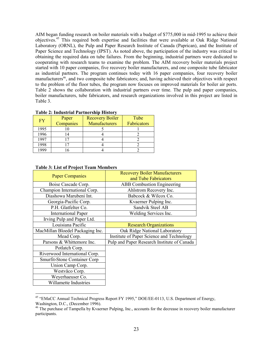AIM began funding research on boiler materials with a budget of \$775,000 in mid-1995 to achieve their objectives.45 This required both expertise and facilities that were available at Oak Ridge National Laboratory (ORNL), the Pulp and Paper Research Institute of Canada (Paprican), and the Institute of Paper Science and Technology (IPST). As noted above, the participation of the industry was critical to obtaining the required data on tube failures. From the beginning, industrial partners were dedicated to cooperating with research teams to examine the problem. The AIM recovery boiler materials project started with 10 paper companies, five recovery boiler manufacturers, and one composite tube fabricator as industrial partners. The program continues today with 16 paper companies, four recovery boiler manufacturers<sup>46</sup>, and two composite tube fabricators; and, having achieved their objectives with respect to the problem of the floor tubes, the program now focuses on improved materials for boiler air ports. Table 2 shows the collaboration with industrial partners over time. The pulp and paper companies, boiler manufacturers, tube fabricators, and research organizations involved in this project are listed in Table 3.

| 1 après 21 mars de la de la chef de la fin de la familie de la familie de la familie de la familie de la famil |           |                        |             |  |  |  |
|----------------------------------------------------------------------------------------------------------------|-----------|------------------------|-------------|--|--|--|
| FY                                                                                                             | Paper     | <b>Recovery Boiler</b> | Tube        |  |  |  |
|                                                                                                                | Companies | Manufacturers          | Fabricators |  |  |  |
| 1995                                                                                                           |           |                        |             |  |  |  |
| 1996                                                                                                           |           |                        |             |  |  |  |
| 1997                                                                                                           |           |                        |             |  |  |  |
| 1998                                                                                                           |           |                        |             |  |  |  |
| 1999                                                                                                           |           |                        |             |  |  |  |

#### **Table 2: Industrial Partnership History**

| тарк э. Евг от гтојест теаш висшрегз |                                                              |
|--------------------------------------|--------------------------------------------------------------|
| <b>Paper Companies</b>               | <b>Recovery Boiler Manufacturers</b><br>and Tube Fabricators |
| Boise Cascade Corp.                  | <b>ABB</b> Combustion Engineering                            |
| Champion International Corp.         | Ahlstrom Recovery Inc.                                       |
| Diashowa Marubeni Int.               | Babcock & Wilcox Co.                                         |
| Georgia-Pacific Corp.                | Kvaerner Pulping Inc.                                        |
| P.H. Glatfelter Co.                  | Sandvik Steel AB                                             |
| <b>International Paper</b>           | Welding Services Inc.                                        |
| Irving Pulp and Paper Ltd.           |                                                              |
| Louisiana Pacific                    | <b>Research Organizations</b>                                |
| MacMillan Bloedel Packaging Inc.     | Oak Ridge National Laboratory                                |
| Mead Corp.                           | Institute of Paper Science and Technology                    |
| Parsons & Whittemore Inc.            | Pulp and Paper Research Institute of Canada                  |
| Potlatch Corp.                       |                                                              |
| Riverwood International Corp.        |                                                              |
| Smurfit-Stone Container Corp         |                                                              |
| Union Camp Corp.                     |                                                              |
| Westvāco Corp.                       |                                                              |
| Weyerhaeuser Co.                     |                                                              |
| Willamette Industries                |                                                              |
|                                      |                                                              |

#### **Table 3: List of Project Team Members**

<sup>&</sup>lt;sup>45</sup> "EMaCC Annual Technical Progress Report FY 1995," DOE/EE-0113, U.S. Department of Energy, Washington, D.C., (December 1996).

<sup>&</sup>lt;sup>46</sup> The purchase of Tampella by Kvaerner Pulping, Inc., accounts for the decrease in recovery boiler manufacturer participants.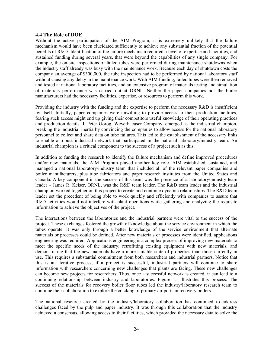#### **4.4 The Role of DOE**

Without the active participation of the AIM Program, it is extremely unlikely that the failure mechanism would have been elucidated sufficiently to achieve any substantial fraction of the potential benefits of R&D. Identification of the failure mechanism required a level of expertise and facilities, and sustained funding during several years, that were beyond the capabilities of any single company. For example, the on-site inspections of failed tubes were performed during maintenance shutdowns when the industry staff already was busy with the maintenance work. Because each day of shutdown costs the company an average of \$300,000, the tube inspection had to be performed by national laboratory staff without causing any delay in the maintenance work. With AIM funding, failed tubes were then removed and tested at national laboratory facilities, and an extensive program of materials testing and simulation of materials performance was carried out at ORNL. Neither the paper companies nor the boiler manufacturers had the necessary facilities, expertise, or resources to perform this work.

Providing the industry with the funding and the expertise to perform the necessary R&D is insufficient by itself. Initially, paper companies were unwilling to provide access to their production facilities, fearing such access might end up giving their competitors useful knowledge of their operating practices and production details. J. Peter Gorog, Weyerhaeuser Company, emerged as the industrial champion, breaking the industrial inertia by convincing the companies to allow access for the national laboratory personnel to collect and share data on tube failures. This led to the establishment of the necessary links to enable a robust industrial network that participated in the national laboratory/industry team. An industrial champion is a critical component to the success of a project such as this.

In addition to funding the research to identify the failure mechanism and define improved procedures and/or new materials, the AIM Program played another key role. AIM established, sustained, and managed a national laboratory/industry team that included all of the relevant paper companies and boiler manufacturers, plus tube fabricators and paper research institutes from the United States and Canada. A key component in the success of this team was the presence of a laboratory/industry team leader – James R. Keiser, ORNL, was the R&D team leader. The R&D team leader and the industrial champion worked together on this project to create and continue dynamic relationships. The R&D team leader set the precedent of being able to work quickly and efficiently with companies to assure that R&D activities would not interfere with plant operations while gathering and analyzing the requisite information to achieve the objectives of the project.

The interactions between the laboratories and the industrial partners were vital to the success of the project. These exchanges fostered the growth of knowledge about the service environment in which the tubes operate. It was only through a better knowledge of the service environment that alternate materials or processes could be defined. After new materials or processes were identified, applications engineering was required. Applications engineering is a complex process of improving new materials to meet the specific needs of the industry; retrofitting existing equipment with new materials, and demonstrating that the new materials have a more suitable suite of properties than those currently in use. This requires a substantial commitment from both researchers and industrial partners. Notice that this is an iterative process; if a project is successful, industrial partners will continue to share information with researchers concerning new challenges that plants are facing. These new challenges can become new projects for researchers. Thus, once a successful network is created, it can lead to a continuing relationship between industry and laboratories. Figure 15 illustrates this process. The success of the materials for recovery boiler floor tubes led the industry/laboratory research team to continue their collaboration to explore the cracking of primary air ports in recovery boilers.

The national resource created by the industry/laboratory collaboration has continued to address challenges faced by the pulp and paper industry. It was through this collaboration that the industry achieved a consensus, allowing access to their facilities, which provided the necessary data to solve the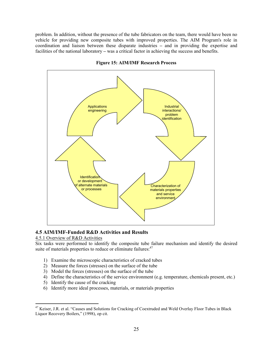problem. In addition, without the presence of the tube fabricators on the team, there would have been no vehicle for providing new composite tubes with improved properties. The AIM Program's role in coordination and liaison between these disparate industries **–** and in providing the expertise and facilities of the national laboratory **–** was a critical factor in achieving the success and benefits.



**Figure 15: AIM/IMF Research Process** 

#### **4.5 AIM/IMF-Funded R&D Activities and Results**

#### 4.5.1 Overview of R&D Activities

 $\overline{a}$ 

Six tasks were performed to identify the composite tube failure mechanism and identify the desired suite of materials properties to reduce or eliminate failures:<sup>47</sup>

- 1) Examine the microscopic characteristics of cracked tubes
- 2) Measure the forces (stresses) on the surface of the tube
- 3) Model the forces (stresses) on the surface of the tube
- 4) Define the characteristics of the service environment (e.g. temperature, chemicals present, etc.)
- 5) Identify the cause of the cracking
- 6) Identify more ideal processes, materials, or materials properties

<sup>&</sup>lt;sup>47</sup> Keiser, J.R. et al. "Causes and Solutions for Cracking of Coextruded and Weld Overlay Floor Tubes in Black Liquor Recovery Boilers," (1998), op cit.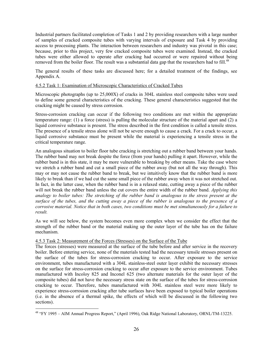Industrial partners facilitated completion of Tasks 1 and 2 by providing researchers with a large number of samples of cracked composite tubes with varying intervals of exposure and Task 4 by providing access to processing plants. The interaction between researchers and industry was pivotal in this case; because, prior to this project, very few cracked composite tubes were examined. Instead, the cracked tubes were either allowed to operate after cracking had occurred or were repaired without being removed from the boiler floor. The result was a substantial data gap that the researchers had to fill.<sup>48</sup>

The general results of these tasks are discussed here; for a detailed treatment of the findings, see Appendix A.

#### 4.5.2 Task 1: Examination of Microscopic Characteristics of Cracked Tubes

Microscopic photographs (up to 25,000X) of cracks in 304L stainless steel composite tubes were used to define some general characteristics of the cracking. These general characteristics suggested that the cracking might be caused by stress corrosion.

Stress-corrosion cracking can occur if the following two conditions are met within the appropriate temperature range: (1) a force (stress) is pulling the molecular structure of the material apart and (2) a liquid corrosive substance is present. The stress described in the first condition is called a tensile stress. The presence of a tensile stress alone will not be severe enough to cause a crack. For a crack to occur, a liquid corrosive substance must be present while the material is experiencing a tensile stress in the critical temperature range.

An analogous situation to boiler floor tube cracking is stretching out a rubber band between your hands. The rubber band may not break despite the force (from your hands) pulling it apart. However, while the rubber band is in this state, it may be more vulnerable to breaking by other means. Take the case where we stretch a rubber band and cut a small piece of the rubber away (but not all the way through). This may or may not cause the rubber band to break, but we intuitively know that the rubber band is more likely to break than if we had cut the same small piece of the rubber away when it was not stretched out. In fact, in the latter case, when the rubber band is in a relaxed state, cutting away a piece of the rubber will not break the rubber band unless the cut covers the entire width of the rubber band. *Applying this analogy to boiler tubes: The stretching of the rubber band is analogous to the stress present at the surface of the tubes, and the cutting away a piece of the rubber is analogous to the presence of a corrosive material. Notice that in both cases, two conditions must be met simultaneously for a failure to result.* 

As we will see below, the system becomes even more complex when we consider the effect that the strength of the rubber band or the material making up the outer layer of the tube has on the failure mechanism.

#### 4.5.3 Task 2: Measurement of the Forces (Stresses) on the Surface of the Tube

 $\overline{a}$ 

The forces (stresses) were measured at the surface of the tube before and after service in the recovery boiler. Before entering service, none of the materials tested had the necessary tensile stresses present on the surface of the tubes for stress-corrosion cracking to occur. After exposure to the service environment, tubes manufactured with a 304L stainless-steel outer layer exhibit the necessary stresses on the surface for stress-corrosion cracking to occur after exposure to the service environment. Tubes manufactured with Incoloy 825 and Inconel 625 (two alternate materials for the outer layer of the composite tubes) did not have the necessary stress state on the surface of the tubes for stress-corrosion cracking to occur. Therefore, tubes manufactured with 304L stainless steel were more likely to experience stress-corrosion cracking after tube surfaces have been exposed to typical boiler operations (i.e. in the absence of a thermal spike, the effects of which will be discussed in the following two sections).

<sup>&</sup>lt;sup>48</sup> "FY 1995 – AIM Annual Progress Report," (April 1996), Oak Ridge National Laboratory, ORNL/TM-13225.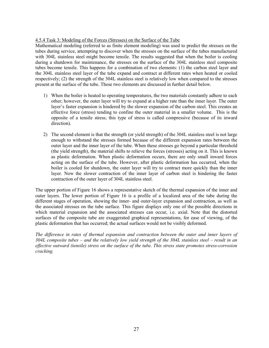#### 4.5.4 Task 3: Modeling of the Forces (Stresses) on the Surface of the Tube

Mathematical modeling (referred to as finite element modeling) was used to predict the stresses on the tubes during service, attempting to discover when the stresses on the surface of the tubes manufactured with 304L stainless steel might become tensile. The results suggested that when the boiler is cooling during a shutdown for maintenance, the stresses on the surface of the 304L stainless steel composite tubes become tensile. This happens for a combination of two elements: (1) the carbon steel layer and the 304L stainless steel layer of the tube expand and contract at different rates when heated or cooled respectively; (2) the strength of the 304L stainless steel is relatively low when compared to the stresses present at the surface of the tube. These two elements are discussed in further detail below.

- 1) When the boiler is heated to operating temperatures, the two materials constantly adhere to each other; however, the outer layer will try to expand at a higher rate than the inner layer. The outer layer's faster expansion is hindered by the slower expansion of the carbon steel. This creates an effective force (stress) tending to confine the outer material in a smaller volume. This is the opposite of a tensile stress; this type of stress is called compressive (because of its inward direction).
- 2) The second element is that the strength (or yield strength) of the 304L stainless steel is not large enough to withstand the stresses formed because of the different expansion rates between the outer layer and the inner layer of the tube. When these stresses go beyond a particular threshold (the yield strength), the material shifts to relieve the forces (stresses) acting on it. This is known as plastic deformation. When plastic deformation occurs, there are only small inward forces acting on the surface of the tube. However, after plastic deformation has occurred, when the boiler is cooled for shutdown, the outer layer will try to contract more quickly than the inner layer. Now the slower contraction of the inner layer of carbon steel is hindering the faster contraction of the outer layer of 304L stainless steel.

The upper portion of Figure 16 shows a representative sketch of the thermal expansion of the inner and outer layers. The lower portion of Figure 16 is a profile of a localized area of the tube during the different stages of operation, showing the inner- and outer-layer expansion and contraction, as well as the associated stresses on the tube surface. This figure displays only one of the possible directions in which material expansion and the associated stresses can occur, i.e. axial. Note that the distorted surfaces of the composite tube are exaggerated graphical representations, for ease of viewing, of the plastic deformation that has occurred; the actual surfaces would not be visibly deformed.

*The difference in rates of thermal expansion and contraction between the outer and inner layers of 304L composite tubes – and the relatively low yield strength of the 304L stainless steel – result in an effective outward (tensile) stress on the surface of the tube. This stress state promotes stress-corrosion cracking.*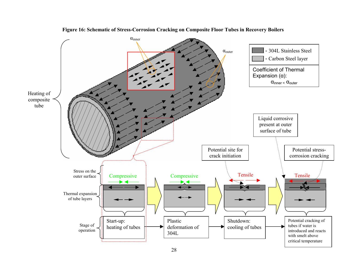

**Figure 16: Schematic of Stress-Corrosion Cracking on Composite Floor Tubes in Recovery Boilers**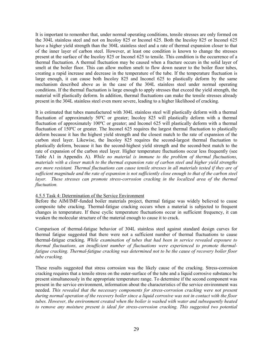It is important to remember that, under normal operating conditions, tensile stresses are only formed on the 304L stainless steel and not on Incoloy 825 or Inconel 625. Both the Incoloy 825 or Inconel 625 have a higher yield strength than the 304L stainless steel and a rate of thermal expansion closer to that of the inner layer of carbon steel. However, at least one condition is known to change the stresses present at the surface of the Incoloy 825 or Inconel 625 to tensile. This condition is the occurrence of a thermal fluctuation. A thermal fluctuation may be caused when a fracture occurs in the solid layer of smelt at the boiler floor. This can allow molten smelt to flow down nearer to the boiler floor tubes, creating a rapid increase and decrease in the temperature of the tube. If the temperature fluctuation is large enough, it can cause both Incoloy 825 and Inconel 625 to plastically deform by the same mechanism described above as in the case of the 304L stainless steel under normal operating conditions. If the thermal fluctuation is large enough to apply stresses that exceed the yield strength, the material will plastically deform. In addition, thermal fluctuations can make the tensile stresses already present in the 304L stainless steel even more severe, leading to a higher likelihood of cracking.

It is estimated that tubes manufactured with 304L stainless steel will plastically deform with a thermal fluctuation of approximately 50ºC or greater; Incoloy 825 will plastically deform with a thermal fluctuation of approximately 100ºC or greater; and Inconel 625 will plastically deform with a thermal fluctuation of 150ºC or greater. The Inconel 625 requires the largest thermal fluctuation to plastically deform because it has the highest yield strength and the closest match to the rate of expansion of the carbon steel layer. Likewise, the Incoloy 825 requires the second-largest thermal fluctuation to plastically deform, because it has the second-highest yield strength and the second-best match to the rate of expansion of the carbon steel layer. Higher temperature fluctuations occur less frequently (see Table A1 in Appendix A). *While no material is immune to the problem of thermal fluctuations, materials with a closer match to the thermal expansion rate of carbon steel and higher yield strengths are more resistant. Thermal fluctuations can cause tensile stresses in all materials tested if they are of sufficient magnitude and the rate of expansion is not sufficiently close enough to that of the carbon steel layer. These stresses can promote stress-corrosion cracking in the localized area of the thermal fluctuation.* 

#### 4.5.5 Task 4: Determination of the Service Environment

Before the AIM/IMF-funded boiler materials project, thermal fatigue was widely believed to cause composite tube cracking. Thermal-fatigue cracking occurs when a material is subjected to frequent changes in temperature. If these cyclic temperature fluctuations occur in sufficient frequency, it can weaken the molecular structure of the material enough to cause it to crack.

Comparison of thermal-fatigue behavior of 304L stainless steel against standard design curves for thermal fatigue suggested that there were not a sufficient number of thermal fluctuations to cause thermal-fatigue cracking. *While examination of tubes that had been in service revealed exposure to thermal fluctuations, an insufficient number of fluctuations were experienced to promote thermalfatigue cracking. Thermal-fatigue cracking was determined not to be the cause of recovery boiler floor tube cracking.* 

These results suggested that stress corrosion was the likely cause of the cracking. Stress-corrosion cracking requires that a tensile stress on the outer-surface of the tube and a liquid corrosive substance be present simultaneously in the appropriate temperature range. To determine if the second component was present in the service environment, information about the characteristics of the service environment was needed. *This revealed that the necessary components for stress-corrosion cracking were not present during normal operation of the recovery boiler since a liquid corrosive was not in contact with the floor tubes. However, the environment created when the boiler is washed with water and subsequently heated to remove any moisture present is ideal for stress-corrosion cracking. This suggested two potential*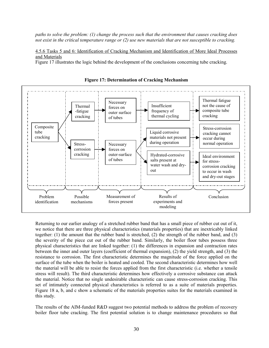*paths to solve the problem: (1) change the process such that the environment that causes cracking does not exist in the critical temperature range or (2) use new materials that are not susceptible to cracking.* 

4.5.6 Tasks 5 and 6: Identification of Cracking Mechanism and Identification of More Ideal Processes and Materials

Figure 17 illustrates the logic behind the development of the conclusions concerning tube cracking.





Returning to our earlier analogy of a stretched rubber band that has a small piece of rubber cut out of it, we notice that there are three physical characteristics (materials properties) that are inextricably linked together: (1) the amount that the rubber band is stretched, (2) the strength of the rubber band, and (3) the severity of the piece cut out of the rubber band. Similarly, the boiler floor tubes possess three physical characteristics that are linked together: (1) the differences in expansion and contraction rates between the inner and outer layers (coefficient of thermal expansion), (2) the yield strength, and (3) the resistance to corrosion. The first characteristic determines the magnitude of the force applied on the surface of the tube when the boiler is heated and cooled. The second characteristic determines how well the material will be able to resist the forces applied from the first characteristic (i.e. whether a tensile stress will result). The third characteristic determines how effectively a corrosive substance can attack the material. Notice that no single undesirable characteristic can cause stress-corrosion cracking. This set of intimately connected physical characteristics is referred to as a suite of materials properties. Figure 18 a, b, and c show a schematic of the materials properties suites for the materials examined in this study.

The results of the AIM-funded R&D suggest two potential methods to address the problem of recovery boiler floor tube cracking. The first potential solution is to change maintenance procedures so that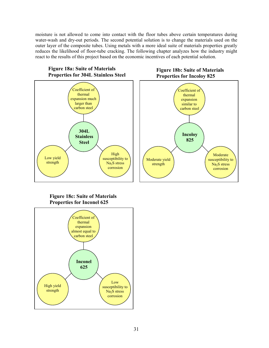moisture is not allowed to come into contact with the floor tubes above certain temperatures during water-wash and dry-out periods. The second potential solution is to change the materials used on the outer layer of the composite tubes. Using metals with a more ideal suite of materials properties greatly reduces the likelihood of floor-tube cracking. The following chapter analyzes how the industry might react to the results of this project based on the economic incentives of each potential solution.



# **Figure 18c: Suite of Materials Properties for Inconel 625**



# **Figure 18b: Suite of Materials**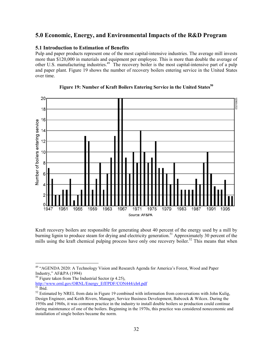# **5.0 Economic, Energy, and Environmental Impacts of the R&D Program**

#### **5.1 Introduction to Estimation of Benefits**

Pulp and paper products represent one of the most capital-intensive industries. The average mill invests more than \$120,000 in materials and equipment per employee. This is more than double the average of other U.S. manufacturing industries.49 The recovery boiler is the most capital-intensive part of a pulp and paper plant. Figure 19 shows the number of recovery boilers entering service in the United States over time.





Kraft recovery boilers are responsible for generating about 40 percent of the energy used by a mill by burning lignin to produce steam for drying and electricity generation.<sup>51</sup> Approximately 30 percent of the mills using the kraft chemical pulping process have only one recovery boiler.<sup>52</sup> This means that when

<sup>&</sup>lt;sup>49</sup> "AGENDA 2020: A Technology Vision and Research Agenda for America's Forest, Wood and Paper Industry," AF&PA (1994)

 $50$  Figure taken from The Industrial Sector (p 4.25),

http://www.ornl.gov/ORNL/Energy\_Eff/PDF/CON444/ch4.pdf<br>
<sup>51</sup> Ibid.

<sup>&</sup>lt;sup>52</sup> Estimated by NREL from data in Figure 19 combined with information from conversations with John Kulig, Design Engineer, and Keith Rivers, Manager, Service Business Development, Babcock & Wilcox. During the 1950s and 1960s, it was common practice in the industry to install double boilers so production could continue during maintenance of one of the boilers. Beginning in the 1970s, this practice was considered noneconomic and installation of single boilers became the norm.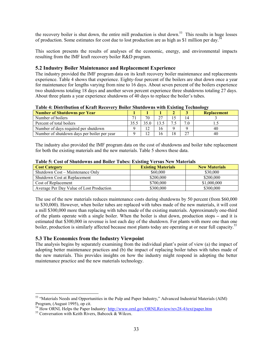the recovery boiler is shut down, the entire mill production is shut down.<sup>53</sup> This results in huge losses of production. Some estimates for cost due to lost production are as high as \$1 million per day.54

This section presents the results of analyses of the economic, energy, and environmental impacts resulting from the IMF kraft recovery boiler R&D program.

#### **5.2 Industry Boiler Maintenance and Replacement Experience**

The industry provided the IMF program data on its kraft recovery boiler maintenance and replacements experience. Table 4 shows that experience. Eighty-four percent of the boilers are shut down once a year for maintenance for lengths varying from nine to 16 days. About seven percent of the boilers experience two shutdowns totaling 18 days and another seven percent experience three shutdowns totaling 27 days. About three plants a year experience shutdowns of 40 days to replace the boiler's tubes.

| <b>Number of Shutdowns per Year</b>         |    |      |     | $\sim$<br><b>Replacement</b> |
|---------------------------------------------|----|------|-----|------------------------------|
| Number of boilers                           | 70 | 27   | 14  |                              |
| Percent of total boilers                    |    | 13.5 | 7.0 |                              |
| Number of days required per shutdown        |    | 16   |     | 40                           |
| Number of shutdown days per boiler per year |    | 16   |     | 40                           |

**Table 4: Distribution of Kraft Recovery Boiler Shutdowns with Existing Technology**

The industry also provided the IMF program data on the cost of shutdowns and boiler tube replacement for both the existing materials and the new materials. Table 5 shows these data.

| Table 3. Cost of Shutuowiis and Donce Tubes. Existing A crous Fiew materials |                           |                      |  |  |  |
|------------------------------------------------------------------------------|---------------------------|----------------------|--|--|--|
| <b>Cost Category</b>                                                         | <b>Existing Materials</b> | <b>New Materials</b> |  |  |  |
| Shutdown Cost – Maintenance Only                                             | \$60,000                  | \$30,000             |  |  |  |
| Shutdown Cost at Replacement                                                 | \$200,000                 | \$200,000            |  |  |  |
| Cost of Replacement                                                          | \$700,000                 | \$1,000,000          |  |  |  |
| Average Per Day Value of Lost Production                                     | \$300,000                 | \$300,000            |  |  |  |

#### **Table 5: Cost of Shutdowns and Boiler Tubes: Existing Versus New Materials**

The use of the new materials reduces maintenance costs during shutdowns by 50 percent (from \$60,000 to \$30,000). However, when boiler tubes are replaced with tubes made of the new materials, it will cost a mill \$300,000 more than replacing with tubes made of the existing materials. Approximately one-third of the plants operate with a single boiler. When the boiler is shut down, production stops **–** and it is estimated that \$300,000 in revenue is lost each day of the shutdown. For plants with more one than one boiler, production is similarly affected because most plants today are operating at or near full capacity.<sup>55</sup>

#### **5.3 The Economics from the Industry Viewpoint**

The analysis begins by separately examining from the individual plant's point of view (a) the impact of adopting better maintenance practices and (b) the impact of replacing boiler tubes with tubes made of the new materials. This provides insights on how the industry might respond in adopting the better maintenance practice and the new materials technology.

<sup>&</sup>lt;sup>53</sup> "Materials Needs and Opportunities in the Pulp and Paper Industry," Advanced Industrial Materials (AIM) Program, (August 1995), op cit.

<sup>&</sup>lt;sup>54</sup> How ORNL Helps the Paper Industry: http://www.ornl.gov/ORNLReview/rev28-4/text/paper.htm <sup>55</sup> Conversation with Keith Rivers, Babcock & Wilcox.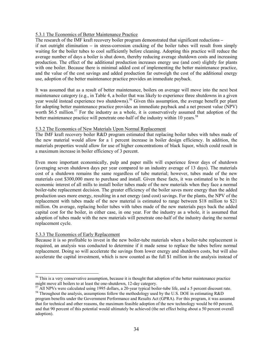#### 5.3.1 The Economics of Better Maintenance Practice

The research of the IMF kraft recovery boiler program demonstrated that significant reductions **–**

if not outright elimination **–** in stress-corrosion cracking of the boiler tubes will result from simply waiting for the boiler tubes to cool sufficiently before cleaning. Adopting this practice will reduce the average number of days a boiler is shut down, thereby reducing average shutdown costs and increasing production. The effect of the additional production increases energy use (and cost) slightly for plants with one boiler. Because there is minimal added cost of implementing the better maintenance practice, and the value of the cost savings and added production far outweigh the cost of the additional energy use, adoption of the better maintenance practice provides an immediate payback.

It was assumed that as a result of better maintenance, boilers on average will move into the next best maintenance category (e.g., in Table 4, a boiler that was likely to experience three shutdowns in a given year would instead experience two shutdowns).<sup>56</sup> Given this assumption, the average benefit per plant for adopting better maintenance practice provides an immediate payback and a net present value (NPV) worth \$6.5 million.<sup>57</sup> For the industry as a whole, it is conservatively assumed that adoption of the better maintenance practice will penetrate one-half of the industry within 10 years.<sup>58</sup>

#### 5.3.2 The Economics of New Materials Upon Normal Replacement

The IMF kraft recovery boiler R&D program estimated that replacing boiler tubes with tubes made of the new material would allow for a 1 percent increase in boiler design efficiency. In addition, the materials properties would allow for use of higher concentrations of black liquor, which could result in a maximum increase in boiler efficiency of 3 percent.

Even more important economically, pulp and paper mills will experience fewer days of shutdown (averaging seven shutdown days per year compared to an industry average of 13 days). The materials cost of a shutdown remains the same regardless of tube material; however, tubes made of the new materials cost \$300,000 more to purchase and install. Given these facts, it was estimated to be in the economic interest of all mills to install boiler tubes made of the new materials when they face a normal boiler-tube replacement decision. The greater efficiency of the boiler saves more energy than the added production uses more energy, resulting in a net energy (and cost) savings. For the plants, the NPV of the replacement with tubes made of the new material is estimated to range between \$18 million to \$21 million. On average, replacing boiler tubes with tubes made of the new materials pays back the added capital cost for the boiler, in either case, in one year. For the industry as a whole, it is assumed that adoption of tubes made with the new materials will penetrate one-half of the industry during the normal replacement cycle.

#### 5.3.3 The Economics of Early Replacement

 $\overline{a}$ 

Because it is so profitable to invest in the new boiler-tube materials when a boiler-tube replacement is required, an analysis was conducted to determine if it made sense to replace the tubes before normal replacement. Doing so will accelerate the savings from lower energy and shutdown costs, but will also accelerate the capital investment, which is now counted as the full \$1 million in the analysis instead of

<sup>&</sup>lt;sup>56</sup> This is a very conservative assumption, because it is thought that adoption of the better maintenance practice might move all boilers to at least the one-shutdown, 12-day category.<br><sup>57</sup> All NPVs were calculated using 1995 dollars, a 20-year typical boiler-tube life, and a 5 percent discount rate.

<sup>&</sup>lt;sup>58</sup> Throughout the analysis, assumptions follow the methodology used by the U.S. DOE in estimating R&D

program benefits under the Government Performance and Results Act (GPRA). For this program, it was assumed that for technical and other reasons, the maximum feasible adoption of the new technology would be 60 percent, and that 90 percent of this potential would ultimately be achieved (the net effect being about a 50 percent overall adoption).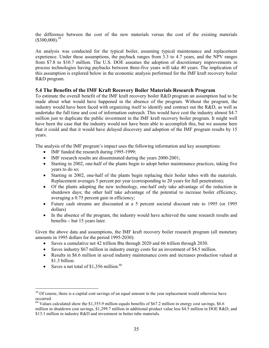the difference between the cost of the new materials versus the cost of the existing materials  $($ \$300,000).<sup>59</sup>

An analysis was conducted for the typical boiler, assuming typical maintenance and replacement experience. Under these assumptions, the payback ranges from 3.3 to 4.7 years, and the NPV ranges from \$7.8 to \$10.7 million. The U.S. DOE assumes the adoption of discretionary improvements in process technologies having paybacks between three-five years will take 40 years. The implication of this assumption is explored below in the economic analysis performed for the IMF kraft recovery boiler R&D program.

#### **5.4 The Benefits of the IMF Kraft Recovery Boiler Materials Research Program**

To estimate the overall benefit of the IMF kraft recovery boiler R&D program an assumption had to be made about what would have happened in the absence of the program. Without the program, the industry would have been faced with organizing itself to identify and contract out the R&D, as well as undertake the full time and cost of information outreach. This would have cost the industry almost \$4.7 million just to duplicate the public investment in the IMF kraft recovery boiler program. It might well have been the case that the industry would not have been able to accomplish this, but we assume here that it could and that it would have delayed discovery and adoption of the IMF program results by 15 years.

The analysis of the IMF program's impact uses the following information and key assumptions:

- IMF funded the research during 1995-1999;
- IMF research results are disseminated during the years 2000-2001;
- Starting in 2002, one-half of the plants begin to adopt better maintenance practices, taking five years to do so;
- Starting in 2002, one-half of the plants begin replacing their boiler tubes with the materials. Replacement averages 5 percent per year (corresponding to 20 years for full penetration);
- Of the plants adopting the new technology, one-half only take advantage of the reduction in shutdown days; the other half take advantage of the potential to increase boiler efficiency, averaging a 0.75 percent gain in efficiency;
- Future cash streams are discounted at a 5 percent societal discount rate to 1995 (or 1995 dollars)
- In the absence of the program, the industry would have achieved the same research results and benefits **–** but 15 years later.

Given the above data and assumptions, the IMF kraft recovery boiler research program (all monetary amounts in 1995 dollars for the period 1995-2030):

- Saves a cumulative net 42 trillion Btu through 2020 and 66 trillion through 2030.
- Saves industry \$67 million in industry energy costs for an investment of \$4.5 million.
- Results in \$6.6 million in saved industry maintenance costs and increases production valued at \$1.3 billion.
- Saves a net total of  $$1,356$  million.<sup>60</sup>

<sup>&</sup>lt;sup>59</sup> Of course, there is a capital cost savings of an equal amount in the year replacement would otherwise have occurred.

<sup>&</sup>lt;sup>60</sup> Values calculated show the \$1,355.9 million equals benefits of \$67.2 million in energy cost savings, \$6.6 million in shutdown cost savings, \$1,299.7 million in additional product value less \$4.5 million in DOE R&D, and \$13.1 million in industry R&D and investment in better tube materials.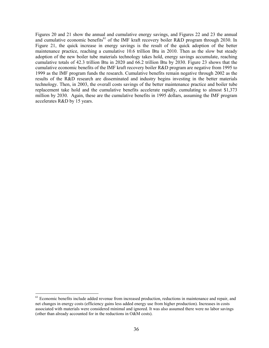Figures 20 and 21 show the annual and cumulative energy savings, and Figures 22 and 23 the annual and cumulative economic benefits<sup>61</sup> of the IMF kraft recovery boiler R&D program through 2030. In Figure 21, the quick increase in energy savings is the result of the quick adoption of the better maintenance practice, reaching a cumulative 10.6 trillion Btu in 2010. Then as the slow but steady adoption of the new boiler tube materials technology takes hold, energy savings accumulate, reaching cumulative totals of 42.3 trillion Btu in 2020 and 66.2 trillion Btu by 2030. Figure 23 shows that the cumulative economic benefits of the IMF kraft recovery boiler R&D program are negative from 1995 to 1999 as the IMF program funds the research. Cumulative benefits remain negative through 2002 as the results of the R&D research are disseminated and industry begins investing in the better materials technology. Then, in 2003, the overall costs savings of the better maintenance practice and boiler tube replacement take hold and the cumulative benefits accelerate rapidly, cumulating to almost \$1,373 million by 2030. Again, these are the cumulative benefits in 1995 dollars, assuming the IMF program accelerates R&D by 15 years.

<sup>&</sup>lt;sup>61</sup> Economic benefits include added revenue from increased production, reductions in maintenance and repair, and net changes in energy costs (efficiency gains less added energy use from higher production). Increases in costs associated with materials were considered minimal and ignored. It was also assumed there were no labor savings (other than already accounted for in the reductions in O&M costs).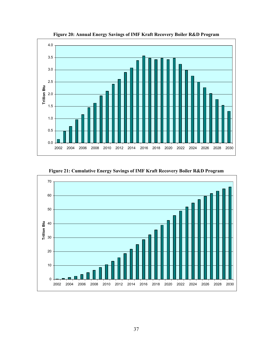

**Figure 20: Annual Energy Savings of IMF Kraft Recovery Boiler R&D Program** 

**Figure 21: Cumulative Energy Savings of IMF Kraft Recovery Boiler R&D Program** 

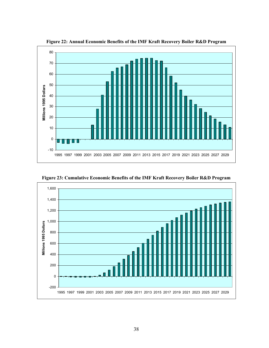

**Figure 22: Annual Economic Benefits of the IMF Kraft Recovery Boiler R&D Program** 



**Figure 23: Cumulative Economic Benefits of the IMF Kraft Recovery Boiler R&D Program**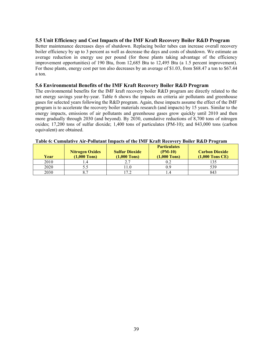#### **5.5 Unit Efficiency and Cost Impacts of the IMF Kraft Recovery Boiler R&D Program**

Better maintenance decreases days of shutdown. Replacing boiler tubes can increase overall recovery boiler efficiency by up to 3 percent as well as decrease the days and costs of shutdown. We estimate an average reduction in energy use per pound (for those plants taking advantage of the efficiency improvement opportunities) of 190 Btu, from 12,685 Btu to 12,495 Btu (a 1.5 percent improvement). For these plants, energy cost per ton also decreases by an average of \$1.03, from \$68.47 a ton to \$67.44 a ton.

#### **5.6 Environmental Benefits of the IMF Kraft Recovery Boiler R&D Program**

The environmental benefits for the IMF kraft recovery boiler R&D program are directly related to the net energy savings year-by-year. Table 6 shows the impacts on criteria air pollutants and greenhouse gases for selected years following the R&D program. Again, these impacts assume the effect of the IMF program is to accelerate the recovery boiler materials research (and impacts) by 15 years. Similar to the energy impacts, emissions of air pollutants and greenhouse gases grow quickly until 2010 and then more gradually through 2030 (and beyond). By 2030, cumulative reductions of 8,700 tons of nitrogen oxides; 17,200 tons of sulfur dioxide; 1,400 tons of particulates (PM-10); and 843,000 tons (carbon equivalent) are obtained.

| Year | <b>Nitrogen Oxides</b><br>$(1,000$ Tons) | <b>Sulfur Dioxide</b><br>$(1,000$ Tons) | <b>Particulates</b><br>$(PM-10)$<br>$(1,000$ Tons) | <b>Carbon Dioxide</b><br>$(1,000$ Tons CE) |
|------|------------------------------------------|-----------------------------------------|----------------------------------------------------|--------------------------------------------|
| 2010 |                                          |                                         |                                                    |                                            |
| 2020 |                                          |                                         |                                                    | 539                                        |
| 2030 |                                          | 70                                      |                                                    | 843                                        |

#### **Table 6: Cumulative Air-Pollutant Impacts of the IMF Kraft Recovery Boiler R&D Program**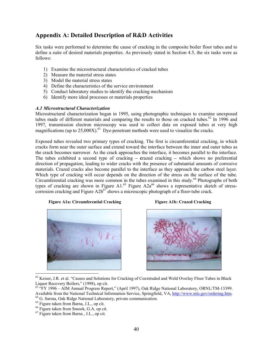# **Appendix A: Detailed Description of R&D Activities**

Six tasks were performed to determine the cause of cracking in the composite boiler floor tubes and to define a suite of desired materials properties. As previously stated in Section 4.5, the six tasks were as follows:

- 1) Examine the microstructural characteristics of cracked tubes
- 2) Measure the material stress states
- 3) Model the material stress states
- 4) Define the characteristics of the service environment
- 5) Conduct laboratory studies to identify the cracking mechanism
- 6) Identify more ideal processes or materials properties

#### *A.1 Microstructural Characterization*

Microstructural characterization began in 1995, using photographic techniques to examine unexposed tubes made of different materials and comparing the results to those on cracked tubes.<sup>62</sup> In 1996 and 1997, transmission electron microscopy was used to collect data on exposed tubes at very high magnifications (up to  $25,000X$ ).<sup>63</sup> Dye-penetrant methods were used to visualize the cracks.

Exposed tubes revealed two primary types of cracking. The first is circumferential cracking, in which cracks form near the outer surface and extend toward the interface between the inner and outer tubes as the crack becomes narrower. As the crack approaches the interface, it becomes parallel to the interface. The tubes exhibited a second type of cracking **– c**razed cracking **–** which shows no preferential direction of propagation, leading to wider cracks with the presence of substantial amounts of corrosive materials. Crazed cracks also become parallel to the interface as they approach the carbon steel layer. Which type of cracking will occur depends on the direction of the stress on the surface of the tube. Circumferential cracking was more common in the tubes examined in this study. $64$  Photographs of both types of cracking are shown in Figure A1.<sup>65</sup> Figure A2a<sup>66</sup> shows a representative sketch of stresscorrosion cracking and Figure  $A2b^{67}$  shows a microscopic photograph of a floor-tube crack.

#### **Figure A1a: Circumferential Cracking Figure A1b: Crazed Cracking Figure A1a:** Circumferential Cracking





 $62$  Keiser, J.R. et al. "Causes and Solutions for Cracking of Coextruded and Weld Overlay Floor Tubes in Black Liquor Recovery Boilers," (1998), op cit.

- <sup>63</sup> "FY 1996 AIM Annual Progress Report," (April 1997), Oak Ridge National Laboratory, ORNL/TM-13399. Available from the National Technical Information Service, Springfield, VA, http://www.ntis.gov/ordering.htm. 64 G. Sarma, Oak Ridge National Laboratory, private communication.
- 65 Figure taken from Barna, J.L., op cit.

 $<sup>66</sup>$  Figure taken from Smook, G.A. op cit.</sup>

<sup>67</sup> Figure taken from Barna , J.L., op cit.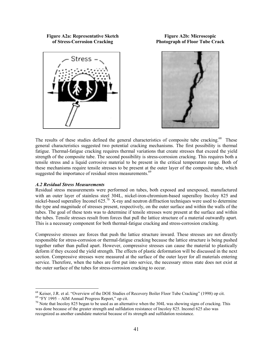#### **Figure A2a: Representative Sketch of Stress-Corrosion Cracking**





**Figure A2b: Microscopic Photograph of Floor Tube Crack**

The results of these studies defined the general characteristics of composite tube cracking.<sup>68</sup> These general characteristics suggested two potential cracking mechanisms. The first possibility is thermal fatigue. Thermal-fatigue cracking requires thermal variations that create stresses that exceed the yield strength of the composite tube. The second possibility is stress-corrosion cracking. This requires both a tensile stress and a liquid corrosive material to be present in the critical temperature range. Both of these mechanisms require tensile stresses to be present at the outer layer of the composite tube, which suggested the importance of residual stress measurements.<sup>69</sup>

#### *A.2 Residual Stress Measurements*

Residual stress measurements were performed on tubes, both exposed and unexposed, manufactured with an outer layer of stainless steel 304L, nickel-iron-chromium-based superalloy Incoloy 825 and nickel-based superalloy Inconel 625.<sup>70</sup> X-ray and neutron diffraction techniques were used to determine the type and magnitude of stresses present, respectively, on the outer surface and within the walls of the tubes. The goal of these tests was to determine if tensile stresses were present at the surface and within the tubes. Tensile stresses result from forces that pull the lattice structure of a material outwardly apart. This is a necessary component for both thermal-fatigue cracking and stress-corrosion cracking.

Compressive stresses are forces that push the lattice structure inward. These stresses are not directly responsible for stress-corrosion or thermal-fatigue cracking because the lattice structure is being pushed together rather than pulled apart. However, compressive stresses can cause the material to plastically deform if they exceed the yield strength. The effects of plastic deformation will be discussed in the next section. Compressive stresses were measured at the surface of the outer layer for all materials entering service. Therefore, when the tubes are first put into service, the necessary stress state does not exist at the outer surface of the tubes for stress-corrosion cracking to occur.

<sup>68</sup> Keiser, J.R. et al. "Overview of the DOE Studies of Recovery Boiler Floor Tube Cracking" (1998) op cit.

 $69$  "FY 1995 – AIM Annual Progress Report," op cit.

 $70$  Note that Incoloy 825 began to be used as an alternative when the 304L was showing signs of cracking. This was done because of the greater strength and sulfidation resistance of Incoloy 825. Inconel 625 also was recognized as another candidate material because of its strength and sulfidation resistance.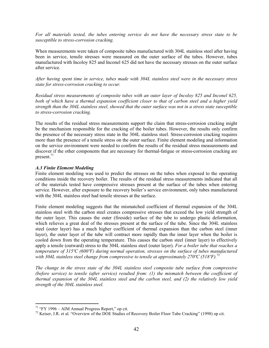*For all materials tested, the tubes entering service do not have the necessary stress state to be susceptible to stress-corrosion cracking.*

When measurements were taken of composite tubes manufactured with 304L stainless steel after having been in service, tensile stresses were measured on the outer surface of the tubes. However, tubes manufactured with Incoloy 825 and Inconel 625 did not have the necessary stresses on the outer surface after service.

*After having spent time in service, tubes made with 304L stainless steel were in the necessary stress state for stress-corrosion cracking to occur.* 

*Residual stress measurements of composite tubes with an outer layer of Incoloy 825 and Inconel 625, both of which have a thermal expansion coefficient closer to that of carbon steel and a higher yield strength than the 304L stainless steel, showed that the outer surface was not in a stress state susceptible to stress-corrosion cracking.* 

The results of the residual stress measurements support the claim that stress-corrosion cracking might be the mechanism responsible for the cracking of the boiler tubes. However, the results only confirm the presence of the necessary stress state in the 304L stainless steel. Stress-corrosion cracking requires more than the presence of a tensile stress on the outer surface. Finite element modeling and information on the service environment were needed to confirm the results of the residual stress measurements and discover if the other components that are necessary for thermal-fatigue or stress-corrosion cracking are present. $^{71}$ 

#### *A.3 Finite Element Modeling*

Finite element modeling was used to predict the stresses on the tubes when exposed to the operating conditions inside the recovery boiler. The results of the residual stress measurements indicated that all of the materials tested have compressive stresses present at the surface of the tubes when entering service. However, after exposure to the recovery boiler's service environment, only tubes manufactured with the 304L stainless steel had tensile stresses at the surface.

Finite element modeling suggests that the mismatched coefficient of thermal expansion of the 304L stainless steel with the carbon steel creates compressive stresses that exceed the low yield strength of the outer layer. This causes the outer (fireside) surface of the tube to undergo plastic deformation, which relieves a great deal of the stresses present at the surface of the tube. Since the 304L stainless steel (outer layer) has a much higher coefficient of thermal expansion than the carbon steel (inner layer), the outer layer of the tube will contract more rapidly than the inner layer when the boiler is cooled down from the operating temperature. This causes the carbon steel (inner layer) to effectively apply a tensile (outward) stress to the 304L stainless steel (outer layer). *For a boiler tube that reaches a temperature of 315ºC (600ºF) during normal operation, stresses on the surface of tubes manufactured with 304L stainless steel change from compressive to tensile at approximately 270ºC (518ºF).*<sup>72</sup>

*The change in the stress state of the 304L stainless steel composite tube surface from compressive (before service) to tensile (after service) resulted from: (1) the mismatch between the coefficient of thermal expansion of the 304L stainless steel and the carbon steel, and (2) the relatively low yield strength of the 304L stainless steel.* 

 $71$  "FY 1996 – AIM Annual Progress Report," op cit.

<sup>&</sup>lt;sup>72</sup> Keiser, J.R. et al. "Overview of the DOE Studies of Recovery Boiler Floor Tube Cracking" (1998) op cit.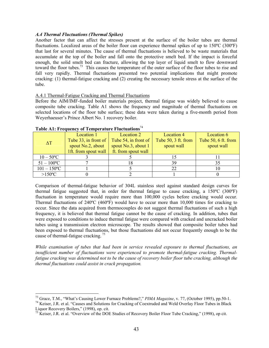#### *A.4 Thermal Fluctuations (Thermal Spikes)*

Another factor that can affect the stresses present at the surface of the boiler tubes are thermal fluctuations. Localized areas of the boiler floor can experience thermal spikes of up to 150ºC (300ºF) that last for several minutes. The cause of thermal fluctuations is believed to be waste materials that accumulate at the top of the boiler and fall onto the protective smelt bed. If the impact is forceful enough, the solid smelt bed can fracture, allowing the top layer of liquid smelt to flow downward toward the floor tubes.<sup>73</sup> This causes the temperature of the outer surface of the floor tubes to rise and fall very rapidly. Thermal fluctuations presented two potential implications that might promote cracking: (1) thermal-fatigue cracking and (2) creating the necessary tensile stress at the surface of the tube.

#### A.4.1 Thermal-Fatigue Cracking and Thermal Fluctuations

Before the AIM/IMF-funded boiler materials project, thermal fatigue was widely believed to cause composite tube cracking. Table A1 shows the frequency and magnitude of thermal fluctuations on selected locations of the floor tube surface; these data were taken during a five-month period from Weyerhaeuser's Prince Albert No. 1 recovery boiler.

|                            | Location 1           | Location 2           | <b>Location 4</b>   | Location 6          |
|----------------------------|----------------------|----------------------|---------------------|---------------------|
| $\Lambda$ T                | Tube 33, in front of | Tube 54, in front of | Tube 50, 3 ft. from | Tube 50, 6 ft. from |
|                            | spout No.2, about    | spout No.3, about 1  | spout wall          | spout wall          |
|                            | 1ft. from spout wall | ft. from spout wall  |                     |                     |
| $10 - 50$ <sup>o</sup> C   |                      |                      |                     |                     |
| $51 - 100$ <sup>o</sup> C  |                      |                      | 39                  |                     |
| $101 - 150$ <sup>o</sup> C |                      |                      |                     |                     |
| $>150^{\circ}$ C           |                      |                      |                     |                     |

#### **Table A1: Frequency of Temperature Fluctuations**<sup>74</sup>

 $\overline{a}$ 

Comparison of thermal-fatigue behavior of 304L stainless steel against standard design curves for thermal fatigue suggested that, in order for thermal fatigue to cause cracking, a 150ºC (300ºF) fluctuation in temperature would require more than 100,000 cycles before cracking would occur. Thermal fluctuations of 240ºC (460ºF) would have to occur more than 10,000 times for cracking to occur. Since the data acquired from thermocouples do not suggest thermal fluctuations of such a high frequency, it is believed that thermal fatigue cannot be the cause of cracking. In addition, tubes that were exposed to conditions to induce thermal fatigue were compared with cracked and uncracked boiler tubes using a transmission electron microscope. The results showed that composite boiler tubes had been exposed to thermal fluctuations, but those fluctuations did not occur frequently enough to be the cause of thermal-fatigue cracking.<sup>75</sup>

*While examination of tubes that had been in service revealed exposure to thermal fluctuations, an insufficient number of fluctuations were experienced to promote thermal-fatigue cracking. Thermalfatigue cracking was determined not to be the cause of recovery boiler floor tube cracking, although the thermal fluctuations could assist in crack propagation.* 

<sup>&</sup>lt;sup>73</sup> Grace, T.M., "What's Causing Lower Furnace Problems?," *PIMA Magazine*, v. 77, (October 1995), pp.50-1.<br><sup>74</sup> Keiser, J.R. et al. "Causes and Solutions for Cracking of Coextruded and Weld Overlay Floor Tubes in Black

Liquor Recovery Boilers," (1998), op. cit.

<sup>&</sup>lt;sup>75</sup> Keiser, J.R. et al. "Overview of the DOE Studies of Recovery Boiler Floor Tube Cracking," (1998), op cit.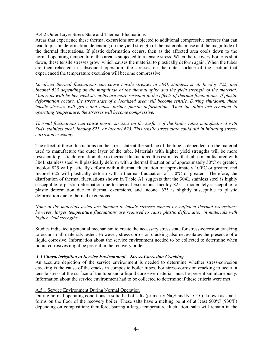#### A.4.2 Outer-Layer Stress State and Thermal Fluctuations

Areas that experience these thermal excursions are subjected to additional compressive stresses that can lead to plastic deformation, depending on the yield strength of the materials in use and the magnitude of the thermal fluctuations. If plastic deformation occurs, then as the affected area cools down to the normal operating temperature, this area is subjected to a tensile stress. When the recovery boiler is shut down, these tensile stresses grow, which causes the material to plastically deform again. When the tubes are then reheated in subsequent operation, the stresses on the outer surface of the section that experienced the temperature excursion will become compressive.

*Localized thermal fluctuations can cause tensile stresses in 304L stainless steel, Incoloy 825, and Inconel 625 depending on the magnitude of the thermal spike and the yield strength of the material. Materials with higher yield strengths are more resistant to the effects of thermal fluctuations. If plastic deformation occurs, the stress state of a localized area will become tensile. During shutdown, these tensile stresses will grow and cause further plastic deformation. When the tubes are reheated to operating temperature, the stresses will become compressive.* 

*Thermal fluctuations can cause tensile stresses on the surface of the boiler tubes manufactured with 304L stainless steel, Incoloy 825, or Inconel 625. This tensile stress state could aid in initiating stresscorrosion cracking.* 

The effect of these fluctuations on the stress state at the surface of the tube is dependent on the material used to manufacture the outer layer of the tube. Materials with higher yield strengths will be more resistant to plastic deformation, due to thermal fluctuations. It is estimated that tubes manufactured with 304L stainless steel will plastically deform with a thermal fluctuation of approximately 50ºC or greater, Incoloy 825 will plastically deform with a thermal fluctuation of approximately 100ºC or greater, and Inconel 625 will plastically deform with a thermal fluctuation of 150ºC or greater. Therefore, the distribution of thermal fluctuations shown in Table A1 suggests that the 304L stainless steel is highly susceptible to plastic deformation due to thermal excursions, Incoloy 825 is moderately susceptible to plastic deformation due to thermal excursions, and Inconel 625 is slightly susceptible to plastic deformation due to thermal excursions.

*None of the materials tested are immune to tensile stresses caused by sufficient thermal excursions; however, larger temperature fluctuations are required to cause plastic deformation in materials with higher yield strengths.* 

Studies indicated a potential mechanism to create the necessary stress state for stress-corrosion cracking to occur in all materials tested. However, stress-corrosion cracking also necessitates the presence of a liquid corrosive. Information about the service environment needed to be collected to determine when liquid corrosives might be present in the recovery boiler.

#### *A.5 Characterization of Service Environment – Stress-Corrosion Cracking*

An accurate depiction of the service environment is needed to determine whether stress-corrosion cracking is the cause of the cracks in composite boiler tubes. For stress-corrosion cracking to occur, a tensile stress at the surface of the tube and a liquid corrosive material must be present simultaneously. Information about the service environment had to be collected to determine if these criteria were met.

#### A.5.1 Service Environment During Normal Operation

During normal operating conditions, a solid bed of salts (primarily Na<sub>2</sub>S and Na<sub>2</sub>CO<sub>3</sub>), known as smelt, forms on the floor of the recovery boiler. These salts have a melting point of at least 500ºC (930ºF) depending on composition; therefore, barring a large temperature fluctuation, salts will remain in the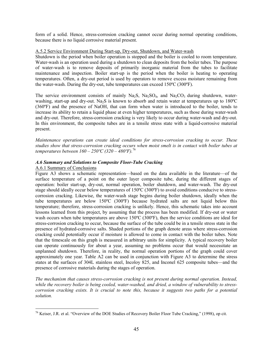form of a solid. Hence, stress-corrosion cracking cannot occur during normal operating conditions, because there is no liquid corrosive material present.

#### A.5.2 Service Environment During Start-up, Dry-out, Shutdown, and Water-wash

Shutdown is the period when boiler operation is stopped and the boiler is cooled to room temperature. Water-wash is an operation used during a shutdown to clean deposits from the boiler tubes. The purpose of water-wash is to remove deposits of primarily inorganic material from the tubes to facilitate maintenance and inspection. Boiler start-up is the period when the boiler is heating to operating temperatures. Often, a dry-out period is used by operators to remove excess moisture remaining from the water-wash. During the dry-out, tube temperatures can exceed 150ºC (300ºF).

The service environment consists of mainly Na<sub>2</sub>S, Na<sub>2</sub>SO<sub>4</sub>, and Na<sub>2</sub>CO<sub>3</sub> during shutdown, waterwashing, start-up and dry-out. Na<sub>2</sub>S is known to absorb and retain water at temperatures up to 180<sup>o</sup>C (360ºF) and the presence of NaOH, that can form when water is introduced to the boiler, tends to increase its ability to retain a liquid phase at even higher temperatures, such as those during water-wash and dry-out. Therefore, stress-corrosion cracking is very likely to occur during water-wash and dry-out. In this environment, the composite tubes are in a tensile stress state with a liquid-corrosive material present.

*Maintenance operations can create ideal conditions for stress-corrosion cracking to occur. These studies show that stress-corrosion cracking occurs when moist smelt is in contact with boiler tubes at temperatures between 160 – 250ºC (320 – 480ºF).*<sup>76</sup>

#### *A.6 Summary and Solutions to Composite Floor-Tube Cracking*

#### A.6.1 Summary of Conclusions

 $\overline{a}$ 

Figure A3 shows a schematic representation––based on the data available in the literature––of the surface temperature of a point on the outer layer composite tube, during the different stages of operation: boiler start-up, dry-out, normal operation, boiler shutdown, and water-wash. The dry-out stage should ideally occur below temperatures of 150ºC (300ºF) to avoid conditions conducive to stresscorrosion cracking. Likewise, the water-wash stage begins during boiler shutdown, ideally when the tube temperatures are below 150ºC (300ºF) because hydrated salts are not liquid below this temperature; therefore, stress-corrosion cracking is unlikely. Hence, this schematic takes into account lessons learned from this project, by assuming that the process has been modified. If dry-out or water wash occurs when tube temperatures are above 150ºC (300ºF), then the service conditions are ideal for stress-corrosion cracking to occur, because the surface of the tube could be in a tensile stress state in the presence of hydrated-corrosive salts. Shaded portions of the graph denote areas where stress-corrosion cracking could potentially occur if moisture is allowed to come in contact with the boiler tubes. Note that the timescale on this graph is measured in arbitrary units for simplicity. A typical recovery boiler can operate continuously for about a year, assuming no problems occur that would necessitate an unplanned shutdown. Therefore, in reality, the normal operation portions of the graph could cover approximately one year. Table A2 can be used in conjunction with Figure A3 to determine the stress states at the surfaces of 304L stainless steel, Incoloy 825, and Inconel 625 composite tubes––and the presence of corrosive materials during the stages of operation.

*The mechanism that causes stress-corrosion cracking is not present during normal operation. Instead, while the recovery boiler is being cooled, water-washed, and dried, a window of vulnerability to stresscorrosion cracking exists. It is crucial to note this, because it suggests two paths for a potential solution.* 

<sup>&</sup>lt;sup>76</sup> Keiser, J.R. et al. "Overview of the DOE Studies of Recovery Boiler Floor Tube Cracking," (1998), op cit.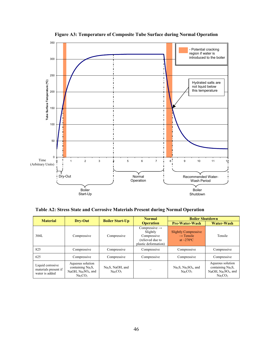

**Figure A3: Temperature of Composite Tube Surface during Normal Operation**

**Table A2: Stress State and Corrosive Materials Present during Normal Operation**

| <b>Material</b>                                            | Dry-Out                                                                                                      | <b>Boiler Start-Up</b>                     | <b>Normal</b>                                                                                    | <b>Boiler Shutdown</b>                                                            |                                                                                                                                     |
|------------------------------------------------------------|--------------------------------------------------------------------------------------------------------------|--------------------------------------------|--------------------------------------------------------------------------------------------------|-----------------------------------------------------------------------------------|-------------------------------------------------------------------------------------------------------------------------------------|
|                                                            |                                                                                                              |                                            | <b>Operation</b>                                                                                 | <b>Pre-Water-Wash</b>                                                             | Water-Wash                                                                                                                          |
| 304L                                                       | Compressive                                                                                                  | Compressive                                | Compressive $\rightarrow$<br>Slightly<br>Compressive<br>(relieved due to<br>plastic deformation) | <b>Slightly Compressive</b><br>$\rightarrow$ Tensile<br>at $\sim$ 270 $\degree$ C | Tensile                                                                                                                             |
| 825                                                        | Compressive                                                                                                  | Compressive                                | Compressive                                                                                      | Compressive                                                                       | Compressive                                                                                                                         |
| 625                                                        | Compressive                                                                                                  | Compressive                                | Compressive                                                                                      | Compressive                                                                       | Compressive                                                                                                                         |
| Liquid corrosive<br>materials present if<br>water is added | Aqueous solution<br>containing Na <sub>2</sub> S,<br>NaOH, $Na2SO4$ , and<br>Na <sub>2</sub> CO <sub>3</sub> | Na <sub>2</sub> S, NaOH, and<br>$Na_2CO_3$ |                                                                                                  | $Na2S$ , $Na2SO4$ , and<br>$Na_2CO_3$                                             | Aqueous solution<br>containing Na <sub>2</sub> S,<br>NaOH, Na <sub>2</sub> SO <sub>4</sub> , and<br>Na <sub>2</sub> CO <sub>3</sub> |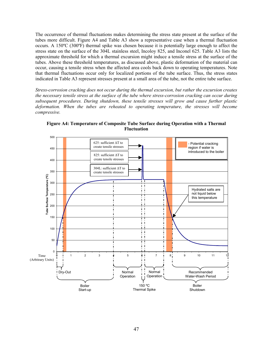The occurrence of thermal fluctuations makes determining the stress state present at the surface of the tubes more difficult. Figure A4 and Table A3 show a representative case when a thermal fluctuation occurs. A 150ºC (300ºF) thermal spike was chosen because it is potentially large enough to affect the stress state on the surface of the 304L stainless steel, Incoloy 825, and Inconel 625. Table A3 lists the approximate threshold for which a thermal excursion might induce a tensile stress at the surface of the tubes. Above these threshold temperatures, as discussed above, plastic deformation of the material can occur, causing a tensile stress when the affected area cools back down to operating temperatures. Note that thermal fluctuations occur only for localized portions of the tube surface. Thus, the stress states indicated in Table A3 represent stresses present at a small area of the tube, not the entire tube surface.

*Stress-corrosion cracking does not occur during the thermal excursion, but rather the excursion creates the necessary tensile stress at the surface of the tube where stress-corrosion cracking can occur during subsequent procedures. During shutdown, these tensile stresses will grow and cause further plastic deformation. When the tubes are reheated to operating temperature, the stresses will become compressive.* 



**Figure A4: Temperature of Composite Tube Surface during Operation with a Thermal Fluctuation**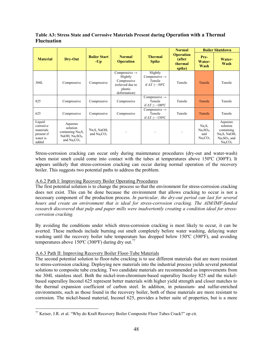#### **Table A3: Stress State and Corrosive Materials Present during Operation with a Thermal Fluctuation**

|                                                                     | Dry-Out                                                                                               | <b>Boiler Start</b><br>$-Up$   | <b>Normal</b><br><b>Operation</b>                                                                   |                                                                                     | <b>Normal</b>                                   | <b>Boiler Shutdown</b>                                                                |                                                                                                                    |
|---------------------------------------------------------------------|-------------------------------------------------------------------------------------------------------|--------------------------------|-----------------------------------------------------------------------------------------------------|-------------------------------------------------------------------------------------|-------------------------------------------------|---------------------------------------------------------------------------------------|--------------------------------------------------------------------------------------------------------------------|
| <b>Material</b>                                                     |                                                                                                       |                                |                                                                                                     | <b>Thermal</b><br><b>Spike</b>                                                      | <b>Operation</b><br>(after<br>thermal<br>spike) | Pre-<br>Water-<br>Wash                                                                | Water-<br>Wash                                                                                                     |
| 304L                                                                | Compressive                                                                                           | Compressive                    | Compressive $\rightarrow$<br>Slightly<br>Compressive<br>(relieved due to<br>plastic<br>deformation) | Slightly<br>Compressive $\rightarrow$<br>Tensile<br>if $\Delta T \geq -50^{\circ}C$ | Tensile                                         | Tensile                                                                               | Tensile                                                                                                            |
| 825                                                                 | Compressive                                                                                           | Compressive                    | Compressive                                                                                         | Compressive $\rightarrow$<br>Tensile<br>if $\Delta T \geq$ ~100°C                   | Tensile                                         | Tensile                                                                               | Tensile                                                                                                            |
| 625                                                                 | Compressive                                                                                           | Compressive                    | Compressive                                                                                         | Compressive $\rightarrow$<br>Tensile<br>if $\Delta T \geq 150^{\circ}C$             | Tensile                                         | Tensile                                                                               | Tensile                                                                                                            |
| Liquid<br>corrosive<br>materials<br>present if<br>water is<br>added | Aqueous<br>solution<br>containing $Na2S$ ,<br>NaOH, Na <sub>2</sub> SO <sub>4</sub> ,<br>and $Na2CO3$ | $Na2S$ , NaOH,<br>and $Na2CO3$ |                                                                                                     |                                                                                     |                                                 | $Na2S$ ,<br>Na <sub>2</sub> SO <sub>4</sub><br>and<br>Na <sub>2</sub> CO <sub>3</sub> | Aqueous<br>solution<br>containing<br>Na <sub>2</sub> S, NaOH,<br>$Na2SO4$ , and<br>Na <sub>2</sub> CO <sub>3</sub> |

Stress-corrosion cracking can occur only during maintenance procedures (dry-out and water-wash) when moist smelt could come into contact with the tubes at temperatures above 150°C (300°F). It appears unlikely that stress-corrosion cracking can occur during normal operation of the recovery boiler. This suggests two potential paths to address the problem.

#### A.6.2 Path I: Improving Recovery Boiler Operating Procedures

The first potential solution is to change the process so that the environment for stress-corrosion cracking does not exist. This can be done because the environment that allows cracking to occur is not a necessary component of the production process. *In particular, the dry-out period can last for several hours and create an environment that is ideal for stress-corrosion cracking. The AIM/IMF-funded research discovered that pulp and paper mills were inadvertently creating a condition ideal for stresscorrosion cracking.* 

By avoiding the conditions under which stress-corrosion cracking is most likely to occur, it can be averted. These methods include burning out smelt completely before water washing, delaying water washing until the recovery boiler tube temperature has dropped below 150°C (300°F), and avoiding temperatures above 150 $\degree$ C (300 $\degree$ F) during dry out.<sup>77</sup>

#### A.6.3 Path II: Improving Recovery Boiler Floor-Tube Materials

 $\overline{a}$ 

The second potential solution to floor-tube cracking is to use different materials that are more resistant to stress-corrosion cracking. Deploying new materials into the industrial process yields several potential solutions to composite tube cracking. Two candidate materials are recommended as improvements from the 304L stainless steel. Both the nickel-iron-chromium-based superalloy Incoloy 825 and the nickelbased superalloy Inconel 625 represent better materials with higher yield strength and closer matches to the thermal expansion coefficient of carbon steel. In addition, in potassium- and sulfur-enriched environments, such as those found in the recovery boiler, both of these materials are more resistant to corrosion. The nickel-based material, Inconel 625, provides a better suite of properties, but is a more

 $77$  Keiser, J.R. et al. "Why do Kraft Recovery Boiler Composite Floor Tubes Crack?" op cit.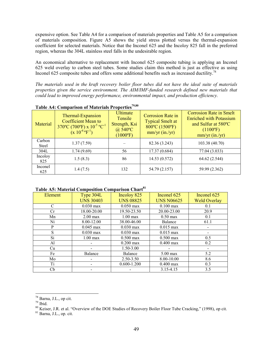expensive option. See Table A4 for a comparison of materials properties and Table A5 for a comparison of materials composition. Figure A5 shows the yield stress plotted versus the thermal-expansion coefficient for selected materials. Notice that the Inconel 625 and the Incoloy 825 fall in the preferred region, whereas the 304L stainless steel falls in the undesirable region.

An economical alternative to replacement with Inconel 625 composite tubing is applying an Inconel 625 weld overlay to carbon steel tubes. Some studies claim this method is just as effective as using Inconel 625 composite tubes and offers some additional benefits such as increased ductility.<sup>78</sup>

*The materials used in the kraft recovery boiler floor tubes did not have the ideal suite of materials properties given the service environment. The AIM/IMF-funded research defined new materials that could lead to improved energy performance, environmental impact, and production efficiency.* 

| Material        | Thermal-Expansion<br><b>Coefficient Mean to</b><br>$370^{\circ}$ C (700°F) x $10^{-5}$ °C <sup>-1</sup><br>$(x 10^{-6} \text{°P}^{-1})$ | <b>Ultimate</b><br>Tensile<br>Strength, Ksi<br>$\omega$ 540°C<br>$(1000\text{°F})$ | <b>Corrosion Rate in</b><br><b>Typical Smelt at</b><br>800°C (1500°F)<br>$mm/yr$ (in./yr) | <b>Corrosion Rate in Smelt</b><br><b>Enriched with Potassium</b><br>and Sulfur at 580°C<br>$(1100^{\circ}F)$<br>mm/yr (in./yr) |
|-----------------|-----------------------------------------------------------------------------------------------------------------------------------------|------------------------------------------------------------------------------------|-------------------------------------------------------------------------------------------|--------------------------------------------------------------------------------------------------------------------------------|
| Carbon<br>Steel | 1.37(7.59)                                                                                                                              |                                                                                    | 82.36 (3.243)                                                                             | 103.38 (40.70)                                                                                                                 |
| 304L            | 1.74(9.69)                                                                                                                              | 56                                                                                 | 17.37 (0.684)                                                                             | 77.04 (3.033)                                                                                                                  |
| Incoloy<br>825  | 1.5(8.3)                                                                                                                                | 86                                                                                 | 14.53 (0.572)                                                                             | 64.62 (2.544)                                                                                                                  |
| Inconel<br>625  | 1.4(7.5)                                                                                                                                | 132                                                                                | 54.79 (2.157)                                                                             | 59.99 (2.362)                                                                                                                  |

#### Table A4: Comparison of Materials Properties<sup>79,80</sup>

#### **Table A5: Material Composition Comparison Chart<sup>81</sup>**

| <b>Element</b> | Type 304L           | Incolog 825         | Inconel 625         | Inconel 625         |
|----------------|---------------------|---------------------|---------------------|---------------------|
|                | <b>UNS 30403</b>    | <b>UNS 08825</b>    | <b>UNS N06625</b>   | <b>Weld Overlay</b> |
| $\mathcal{C}$  | $0.030 \text{ max}$ | $0.050 \text{ max}$ | $0.100 \text{ max}$ | 0.1                 |
| <b>Cr</b>      | 18.00-20.00         | 19.50-23.50         | 20.00-23.00         | 20.9                |
| Mn             | $2.00 \text{ max}$  | $1.00 \text{ max}$  | $0.50 \text{ max}$  | 0.1                 |
| Ni             | 8.00-12.00          | 38.00-46.00         | Balance             | 61.1                |
| P              | $0.045$ max         | $0.030 \text{ max}$ | $0.015$ max         |                     |
| S              | $0.030$ max         | $0.030$ max         | $0.015$ max         |                     |
| Si             | $1.00 \text{ max}$  | $0.500 \text{ max}$ | $0.500 \text{ max}$ | 0.5                 |
| Al             |                     | $0.200 \text{ max}$ | $0.400 \text{ max}$ | 0.2                 |
| Cu             |                     | $1.50 - 3.00$       |                     |                     |
| Fe             | Balance             | Balance             | $5.00 \text{ max}$  | 5.2                 |
| Mo             |                     | 2.50-3.50           | 8.00-10.00          | 8.6                 |
| Ti             |                     | $0.600 - 1.200$     | $0.400$ max         | 0.3                 |
| Сb             |                     |                     | 3.15-4.15           | 3.5                 |

 $78$  Barna, J.L., op cit.

 $79$  Ibid.

<sup>80</sup> Keiser, J.R. et al. "Overview of the DOE Studies of Recovery Boiler Floor Tube Cracking," (1998), op cit.

 $81$  Barna, J.L., op. cit.